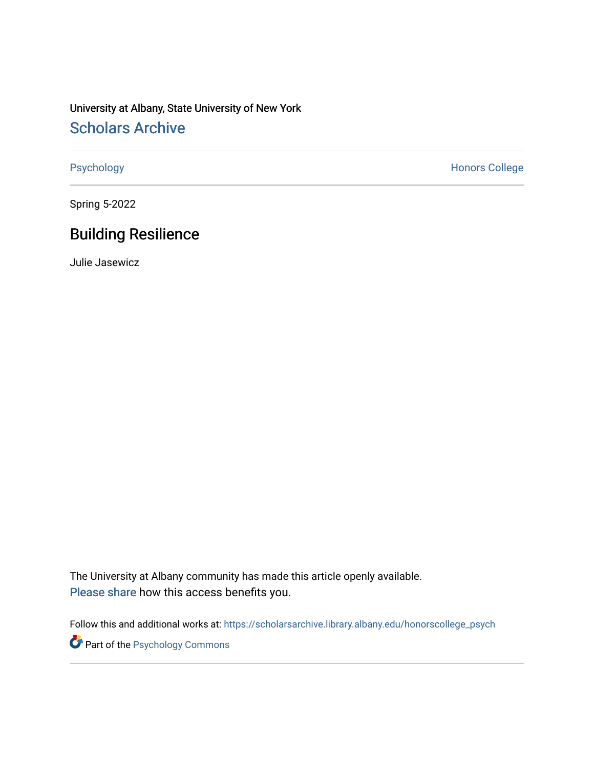# University at Albany, State University of New York [Scholars Archive](https://scholarsarchive.library.albany.edu/)

[Psychology](https://scholarsarchive.library.albany.edu/honorscollege_psych) **Honors College** 

Spring 5-2022

# Building Resilience

Julie Jasewicz

The University at Albany community has made this article openly available. [Please share](https://albany.libwizard.com/f/open-access-feedback) how this access benefits you.

Follow this and additional works at: [https://scholarsarchive.library.albany.edu/honorscollege\\_psych](https://scholarsarchive.library.albany.edu/honorscollege_psych?utm_source=scholarsarchive.library.albany.edu%2Fhonorscollege_psych%2F45&utm_medium=PDF&utm_campaign=PDFCoverPages)  **Part of the Psychology Commons**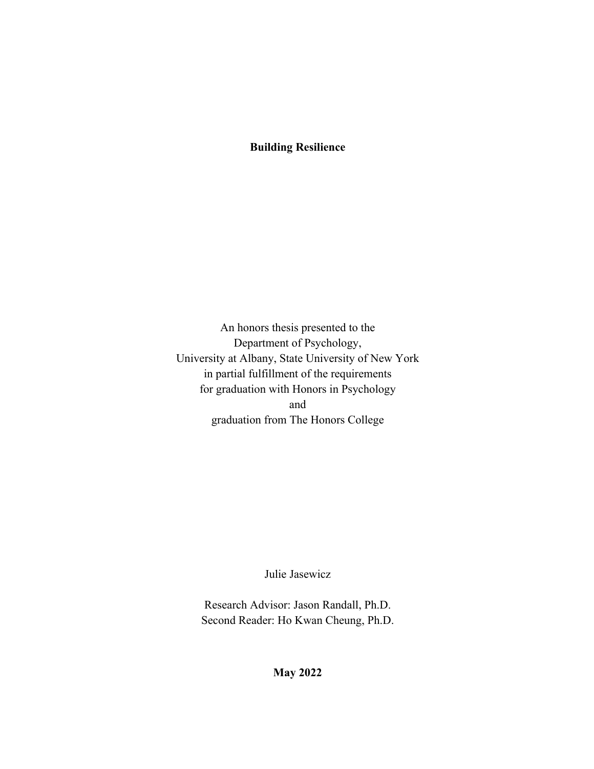## **Building Resilience**

An honors thesis presented to the Department of Psychology, University at Albany, State University of New York in partial fulfillment of the requirements for graduation with Honors in Psychology and graduation from The Honors College

Julie Jasewicz

Research Advisor: Jason Randall, Ph.D. Second Reader: Ho Kwan Cheung, Ph.D.

**May 2022**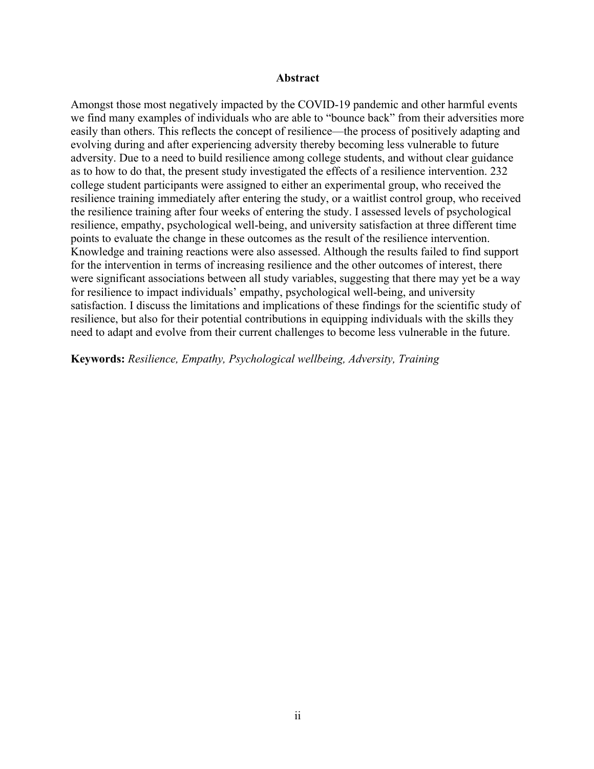#### **Abstract**

Amongst those most negatively impacted by the COVID-19 pandemic and other harmful events we find many examples of individuals who are able to "bounce back" from their adversities more easily than others. This reflects the concept of resilience—the process of positively adapting and evolving during and after experiencing adversity thereby becoming less vulnerable to future adversity. Due to a need to build resilience among college students, and without clear guidance as to how to do that, the present study investigated the effects of a resilience intervention. 232 college student participants were assigned to either an experimental group, who received the resilience training immediately after entering the study, or a waitlist control group, who received the resilience training after four weeks of entering the study. I assessed levels of psychological resilience, empathy, psychological well-being, and university satisfaction at three different time points to evaluate the change in these outcomes as the result of the resilience intervention. Knowledge and training reactions were also assessed. Although the results failed to find support for the intervention in terms of increasing resilience and the other outcomes of interest, there were significant associations between all study variables, suggesting that there may yet be a way for resilience to impact individuals' empathy, psychological well-being, and university satisfaction. I discuss the limitations and implications of these findings for the scientific study of resilience, but also for their potential contributions in equipping individuals with the skills they need to adapt and evolve from their current challenges to become less vulnerable in the future.

**Keywords:** *Resilience, Empathy, Psychological wellbeing, Adversity, Training*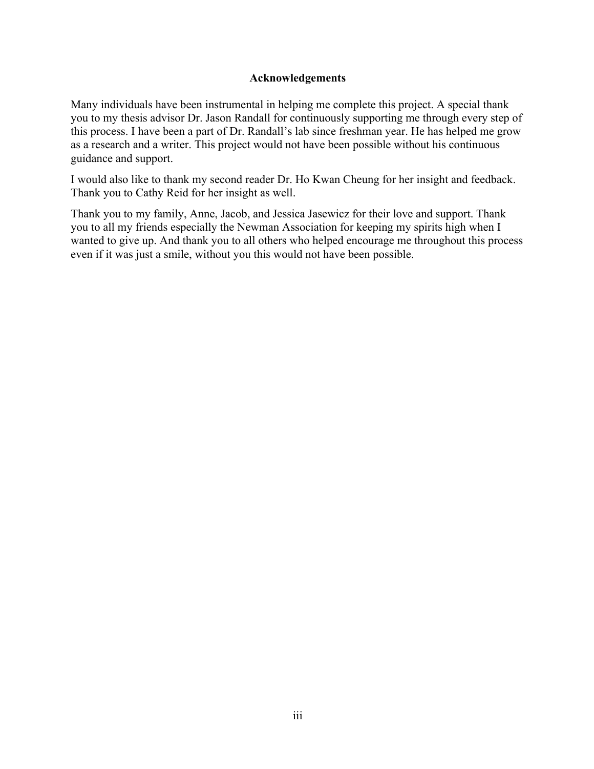### **Acknowledgements**

Many individuals have been instrumental in helping me complete this project. A special thank you to my thesis advisor Dr. Jason Randall for continuously supporting me through every step of this process. I have been a part of Dr. Randall's lab since freshman year. He has helped me grow as a research and a writer. This project would not have been possible without his continuous guidance and support.

I would also like to thank my second reader Dr. Ho Kwan Cheung for her insight and feedback. Thank you to Cathy Reid for her insight as well.

Thank you to my family, Anne, Jacob, and Jessica Jasewicz for their love and support. Thank you to all my friends especially the Newman Association for keeping my spirits high when I wanted to give up. And thank you to all others who helped encourage me throughout this process even if it was just a smile, without you this would not have been possible.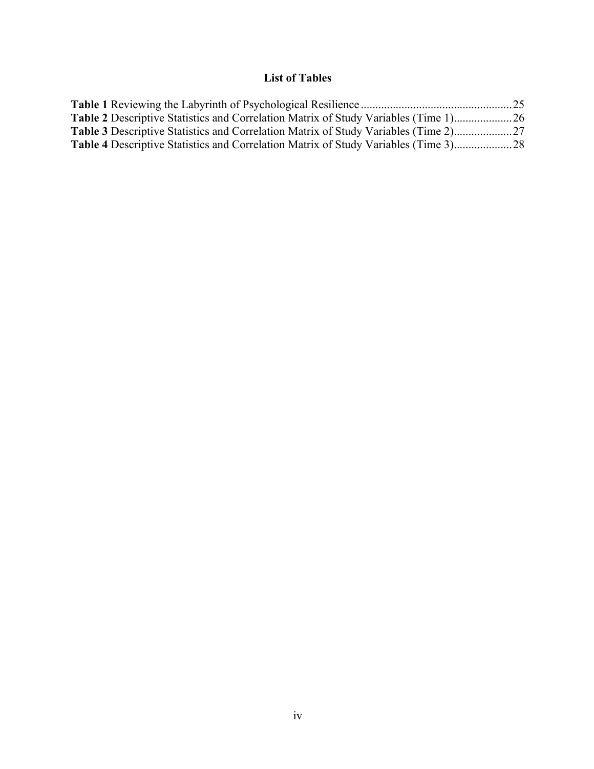# **List of Tables**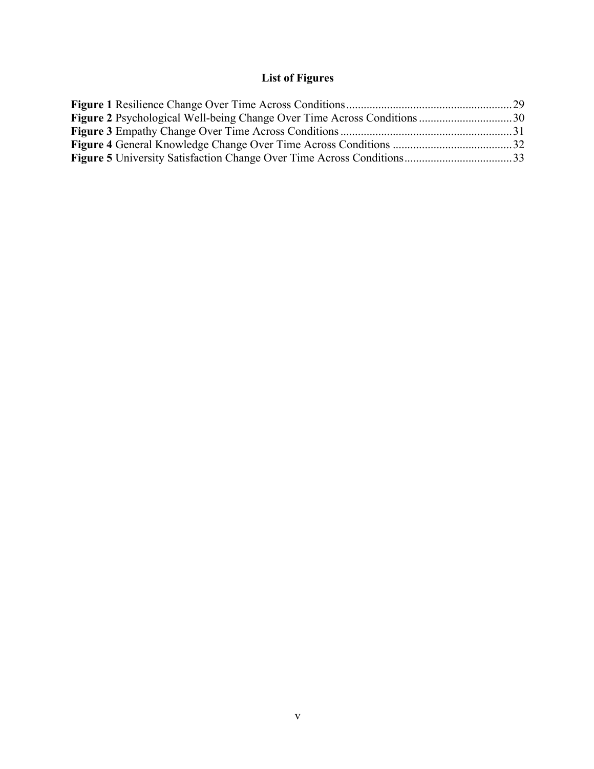# **List of Figures**

| Figure 2 Psychological Well-being Change Over Time Across Conditions30 |  |
|------------------------------------------------------------------------|--|
|                                                                        |  |
|                                                                        |  |
|                                                                        |  |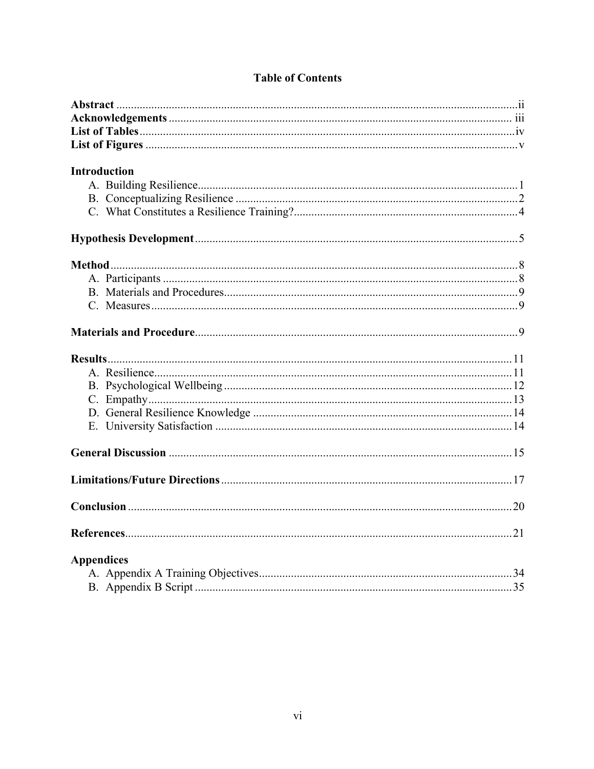| <b>Introduction</b> |
|---------------------|
|                     |
|                     |
|                     |
|                     |
|                     |
|                     |
|                     |
|                     |
|                     |
|                     |
|                     |
|                     |
|                     |
|                     |
|                     |
|                     |
|                     |
|                     |
|                     |
| <b>Appendices</b>   |
|                     |
|                     |

# **Table of Contents**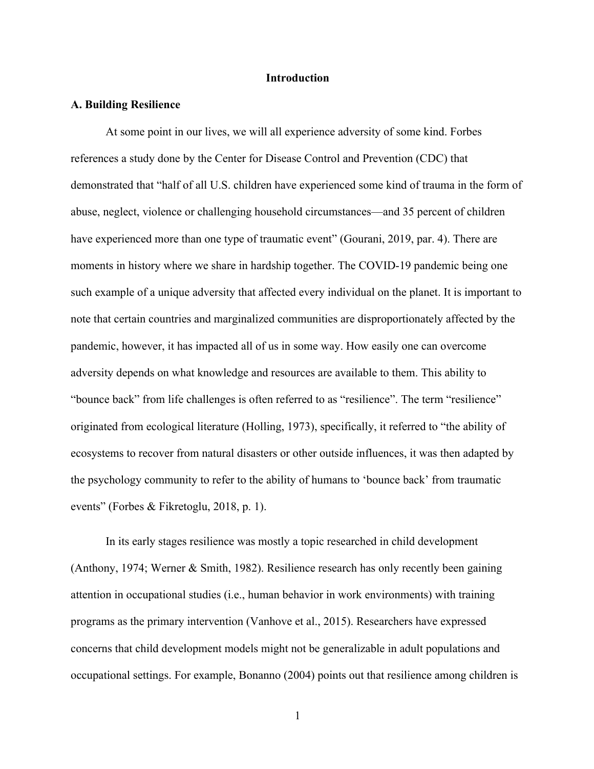#### **Introduction**

#### **A. Building Resilience**

At some point in our lives, we will all experience adversity of some kind. Forbes references a study done by the Center for Disease Control and Prevention (CDC) that demonstrated that "half of all U.S. children have experienced some kind of trauma in the form of abuse, neglect, violence or challenging household circumstances—and 35 percent of children have experienced more than one type of traumatic event" (Gourani, 2019, par. 4). There are moments in history where we share in hardship together. The COVID-19 pandemic being one such example of a unique adversity that affected every individual on the planet. It is important to note that certain countries and marginalized communities are disproportionately affected by the pandemic, however, it has impacted all of us in some way. How easily one can overcome adversity depends on what knowledge and resources are available to them. This ability to "bounce back" from life challenges is often referred to as "resilience". The term "resilience" originated from ecological literature (Holling, 1973), specifically, it referred to "the ability of ecosystems to recover from natural disasters or other outside influences, it was then adapted by the psychology community to refer to the ability of humans to 'bounce back' from traumatic events" (Forbes & Fikretoglu, 2018, p. 1).

In its early stages resilience was mostly a topic researched in child development (Anthony, 1974; Werner & Smith, 1982). Resilience research has only recently been gaining attention in occupational studies (i.e., human behavior in work environments) with training programs as the primary intervention (Vanhove et al., 2015). Researchers have expressed concerns that child development models might not be generalizable in adult populations and occupational settings. For example, Bonanno (2004) points out that resilience among children is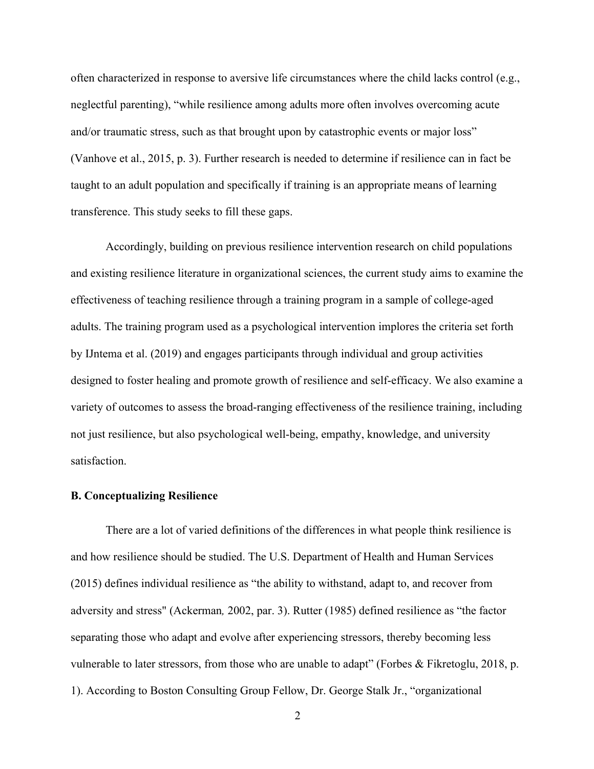often characterized in response to aversive life circumstances where the child lacks control (e.g., neglectful parenting), "while resilience among adults more often involves overcoming acute and/or traumatic stress, such as that brought upon by catastrophic events or major loss" (Vanhove et al., 2015, p. 3). Further research is needed to determine if resilience can in fact be taught to an adult population and specifically if training is an appropriate means of learning transference. This study seeks to fill these gaps.

Accordingly, building on previous resilience intervention research on child populations and existing resilience literature in organizational sciences, the current study aims to examine the effectiveness of teaching resilience through a training program in a sample of college-aged adults. The training program used as a psychological intervention implores the criteria set forth by IJntema et al. (2019) and engages participants through individual and group activities designed to foster healing and promote growth of resilience and self-efficacy. We also examine a variety of outcomes to assess the broad-ranging effectiveness of the resilience training, including not just resilience, but also psychological well-being, empathy, knowledge, and university satisfaction.

### **B. Conceptualizing Resilience**

There are a lot of varied definitions of the differences in what people think resilience is and how resilience should be studied. The U.S. Department of Health and Human Services (2015) defines individual resilience as "the ability to withstand, adapt to, and recover from adversity and stress" (Ackerman*,* 2002, par. 3). Rutter (1985) defined resilience as "the factor separating those who adapt and evolve after experiencing stressors, thereby becoming less vulnerable to later stressors, from those who are unable to adapt" (Forbes & Fikretoglu, 2018, p. 1). According to Boston Consulting Group Fellow, Dr. George Stalk Jr., "organizational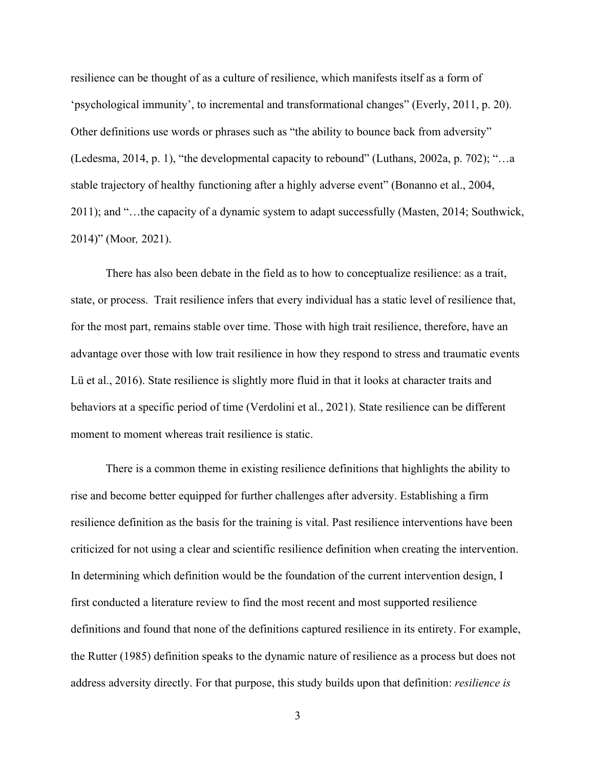resilience can be thought of as a culture of resilience, which manifests itself as a form of 'psychological immunity', to incremental and transformational changes" (Everly, 2011, p. 20). Other definitions use words or phrases such as "the ability to bounce back from adversity" (Ledesma, 2014, p. 1), "the developmental capacity to rebound" (Luthans, 2002a, p. 702); "…a stable trajectory of healthy functioning after a highly adverse event" (Bonanno et al., 2004, 2011); and "…the capacity of a dynamic system to adapt successfully (Masten, 2014; Southwick, 2014)" (Moor*,* 2021).

There has also been debate in the field as to how to conceptualize resilience: as a trait, state, or process. Trait resilience infers that every individual has a static level of resilience that, for the most part, remains stable over time. Those with high trait resilience, therefore, have an advantage over those with low trait resilience in how they respond to stress and traumatic events Lü et al., 2016). State resilience is slightly more fluid in that it looks at character traits and behaviors at a specific period of time (Verdolini et al., 2021). State resilience can be different moment to moment whereas trait resilience is static.

There is a common theme in existing resilience definitions that highlights the ability to rise and become better equipped for further challenges after adversity. Establishing a firm resilience definition as the basis for the training is vital. Past resilience interventions have been criticized for not using a clear and scientific resilience definition when creating the intervention. In determining which definition would be the foundation of the current intervention design, I first conducted a literature review to find the most recent and most supported resilience definitions and found that none of the definitions captured resilience in its entirety. For example, the Rutter (1985) definition speaks to the dynamic nature of resilience as a process but does not address adversity directly. For that purpose, this study builds upon that definition: *resilience is*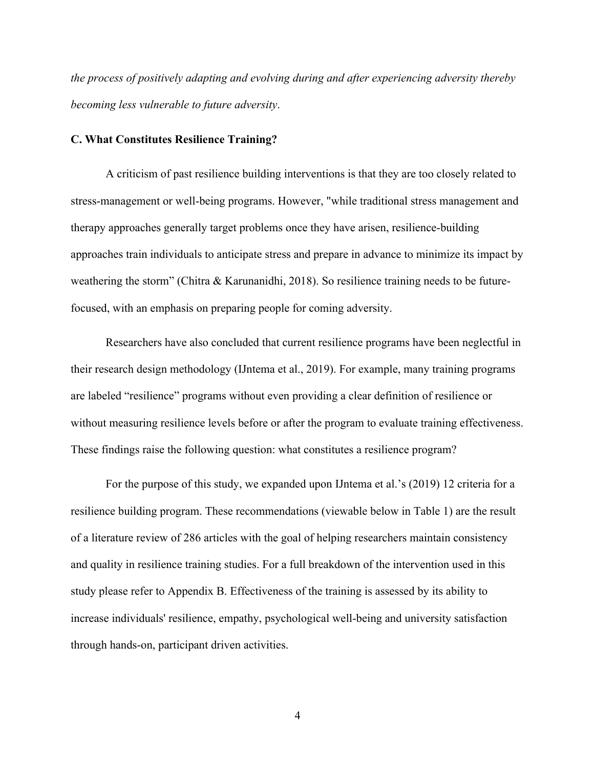*the process of positively adapting and evolving during and after experiencing adversity thereby becoming less vulnerable to future adversity*.

#### **C. What Constitutes Resilience Training?**

A criticism of past resilience building interventions is that they are too closely related to stress-management or well-being programs. However, "while traditional stress management and therapy approaches generally target problems once they have arisen, resilience-building approaches train individuals to anticipate stress and prepare in advance to minimize its impact by weathering the storm" (Chitra & Karunanidhi, 2018). So resilience training needs to be futurefocused, with an emphasis on preparing people for coming adversity.

Researchers have also concluded that current resilience programs have been neglectful in their research design methodology (IJntema et al., 2019). For example, many training programs are labeled "resilience" programs without even providing a clear definition of resilience or without measuring resilience levels before or after the program to evaluate training effectiveness. These findings raise the following question: what constitutes a resilience program?

For the purpose of this study, we expanded upon IJntema et al.'s (2019) 12 criteria for a resilience building program. These recommendations (viewable below in Table 1) are the result of a literature review of 286 articles with the goal of helping researchers maintain consistency and quality in resilience training studies. For a full breakdown of the intervention used in this study please refer to Appendix B. Effectiveness of the training is assessed by its ability to increase individuals' resilience, empathy, psychological well-being and university satisfaction through hands-on, participant driven activities.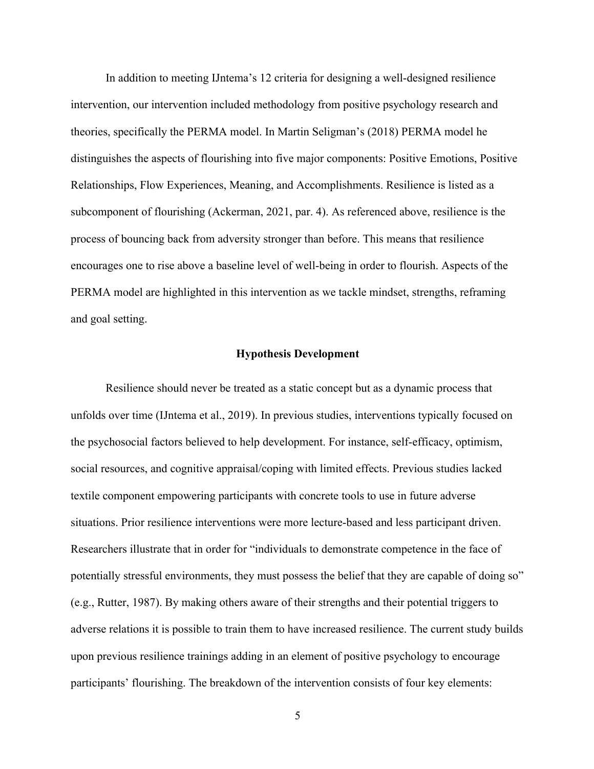In addition to meeting IJntema's 12 criteria for designing a well-designed resilience intervention, our intervention included methodology from positive psychology research and theories, specifically the PERMA model. In Martin Seligman's (2018) PERMA model he distinguishes the aspects of flourishing into five major components: Positive Emotions, Positive Relationships, Flow Experiences, Meaning, and Accomplishments. Resilience is listed as a subcomponent of flourishing (Ackerman, 2021, par. 4). As referenced above, resilience is the process of bouncing back from adversity stronger than before. This means that resilience encourages one to rise above a baseline level of well-being in order to flourish. Aspects of the PERMA model are highlighted in this intervention as we tackle mindset, strengths, reframing and goal setting.

### **Hypothesis Development**

Resilience should never be treated as a static concept but as a dynamic process that unfolds over time (IJntema et al., 2019). In previous studies, interventions typically focused on the psychosocial factors believed to help development. For instance, self-efficacy, optimism, social resources, and cognitive appraisal/coping with limited effects. Previous studies lacked textile component empowering participants with concrete tools to use in future adverse situations. Prior resilience interventions were more lecture-based and less participant driven. Researchers illustrate that in order for "individuals to demonstrate competence in the face of potentially stressful environments, they must possess the belief that they are capable of doing so" (e.g., Rutter, 1987). By making others aware of their strengths and their potential triggers to adverse relations it is possible to train them to have increased resilience. The current study builds upon previous resilience trainings adding in an element of positive psychology to encourage participants' flourishing. The breakdown of the intervention consists of four key elements: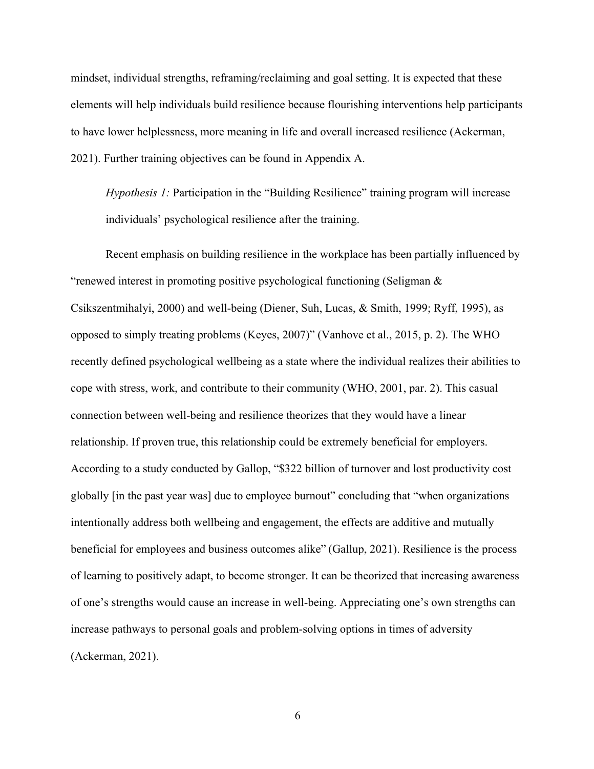mindset, individual strengths, reframing/reclaiming and goal setting. It is expected that these elements will help individuals build resilience because flourishing interventions help participants to have lower helplessness, more meaning in life and overall increased resilience (Ackerman, 2021). Further training objectives can be found in Appendix A.

*Hypothesis 1:* Participation in the "Building Resilience" training program will increase individuals' psychological resilience after the training.

Recent emphasis on building resilience in the workplace has been partially influenced by "renewed interest in promoting positive psychological functioning (Seligman & Csikszentmihalyi, 2000) and well-being (Diener, Suh, Lucas, & Smith, 1999; Ryff, 1995), as opposed to simply treating problems (Keyes, 2007)" (Vanhove et al., 2015, p. 2). The WHO recently defined psychological wellbeing as a state where the individual realizes their abilities to cope with stress, work, and contribute to their community (WHO, 2001, par. 2). This casual connection between well-being and resilience theorizes that they would have a linear relationship. If proven true, this relationship could be extremely beneficial for employers. According to a study conducted by Gallop, "\$322 billion of turnover and lost productivity cost globally [in the past year was] due to employee burnout" concluding that "when organizations intentionally address both wellbeing and engagement, the effects are additive and mutually beneficial for employees and business outcomes alike" (Gallup, 2021). Resilience is the process of learning to positively adapt, to become stronger. It can be theorized that increasing awareness of one's strengths would cause an increase in well-being. Appreciating one's own strengths can increase pathways to personal goals and problem-solving options in times of adversity (Ackerman, 2021).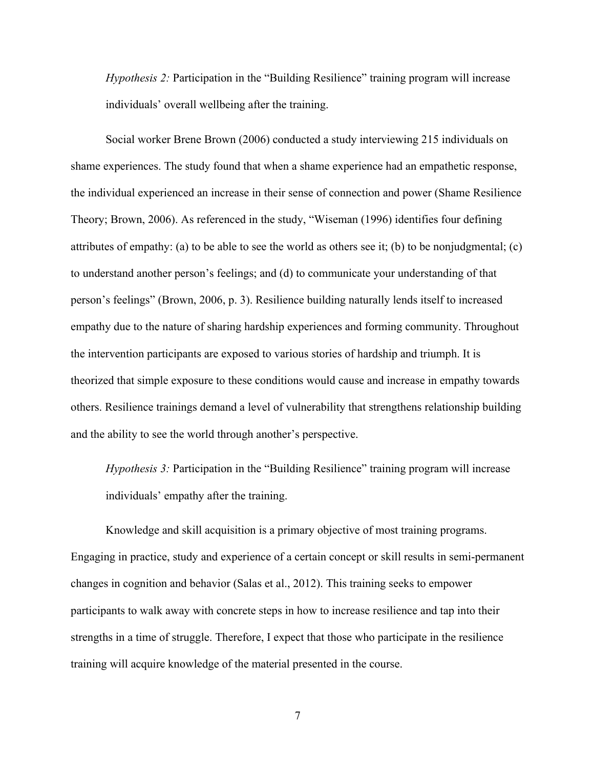*Hypothesis 2:* Participation in the "Building Resilience" training program will increase individuals' overall wellbeing after the training.

Social worker Brene Brown (2006) conducted a study interviewing 215 individuals on shame experiences. The study found that when a shame experience had an empathetic response, the individual experienced an increase in their sense of connection and power (Shame Resilience Theory; Brown, 2006). As referenced in the study, "Wiseman (1996) identifies four defining attributes of empathy: (a) to be able to see the world as others see it; (b) to be nonjudgmental; (c) to understand another person's feelings; and (d) to communicate your understanding of that person's feelings" (Brown, 2006, p. 3). Resilience building naturally lends itself to increased empathy due to the nature of sharing hardship experiences and forming community. Throughout the intervention participants are exposed to various stories of hardship and triumph. It is theorized that simple exposure to these conditions would cause and increase in empathy towards others. Resilience trainings demand a level of vulnerability that strengthens relationship building and the ability to see the world through another's perspective.

*Hypothesis 3:* Participation in the "Building Resilience" training program will increase individuals' empathy after the training.

Knowledge and skill acquisition is a primary objective of most training programs. Engaging in practice, study and experience of a certain concept or skill results in semi-permanent changes in cognition and behavior (Salas et al., 2012). This training seeks to empower participants to walk away with concrete steps in how to increase resilience and tap into their strengths in a time of struggle. Therefore, I expect that those who participate in the resilience training will acquire knowledge of the material presented in the course.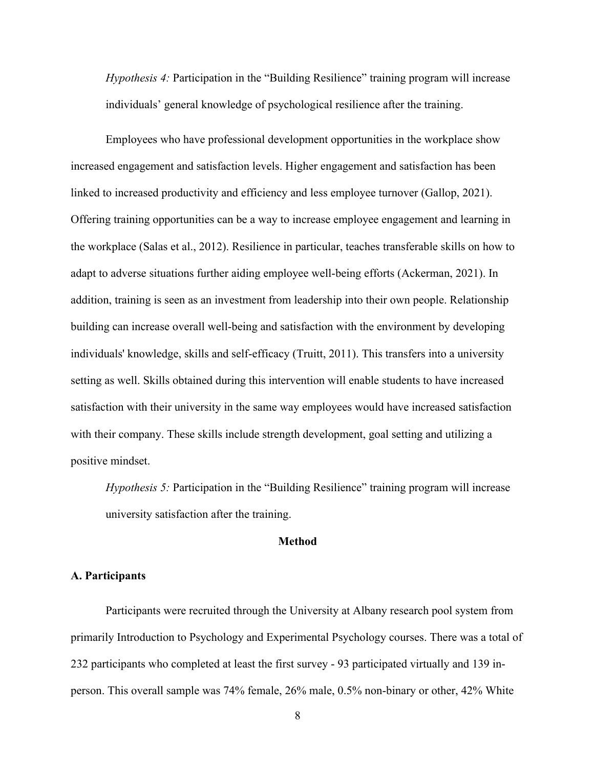*Hypothesis 4:* Participation in the "Building Resilience" training program will increase individuals' general knowledge of psychological resilience after the training.

Employees who have professional development opportunities in the workplace show increased engagement and satisfaction levels. Higher engagement and satisfaction has been linked to increased productivity and efficiency and less employee turnover (Gallop, 2021). Offering training opportunities can be a way to increase employee engagement and learning in the workplace (Salas et al., 2012). Resilience in particular, teaches transferable skills on how to adapt to adverse situations further aiding employee well-being efforts (Ackerman, 2021). In addition, training is seen as an investment from leadership into their own people. Relationship building can increase overall well-being and satisfaction with the environment by developing individuals' knowledge, skills and self-efficacy (Truitt, 2011). This transfers into a university setting as well. Skills obtained during this intervention will enable students to have increased satisfaction with their university in the same way employees would have increased satisfaction with their company. These skills include strength development, goal setting and utilizing a positive mindset.

*Hypothesis 5:* Participation in the "Building Resilience" training program will increase university satisfaction after the training.

### **Method**

### **A. Participants**

Participants were recruited through the University at Albany research pool system from primarily Introduction to Psychology and Experimental Psychology courses. There was a total of 232 participants who completed at least the first survey - 93 participated virtually and 139 inperson. This overall sample was 74% female, 26% male, 0.5% non-binary or other, 42% White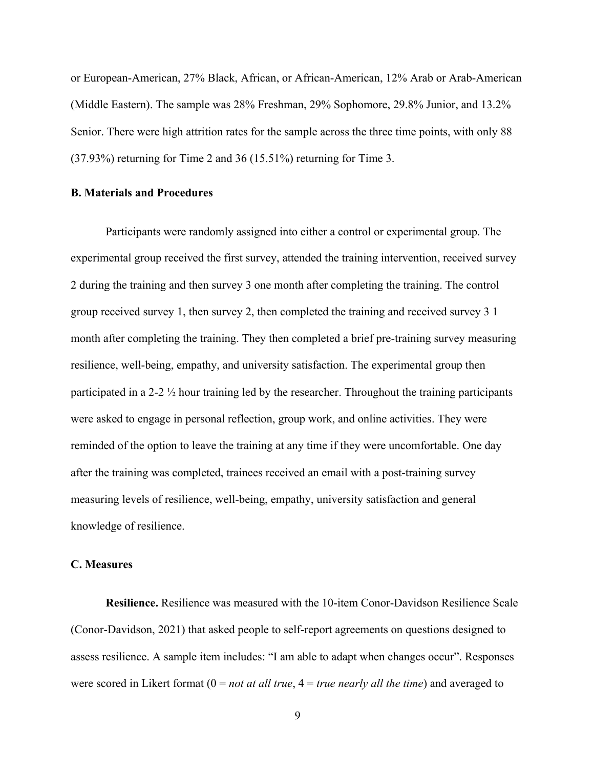or European-American, 27% Black, African, or African-American, 12% Arab or Arab-American (Middle Eastern). The sample was 28% Freshman, 29% Sophomore, 29.8% Junior, and 13.2% Senior. There were high attrition rates for the sample across the three time points, with only 88 (37.93%) returning for Time 2 and 36 (15.51%) returning for Time 3.

#### **B. Materials and Procedures**

Participants were randomly assigned into either a control or experimental group. The experimental group received the first survey, attended the training intervention, received survey 2 during the training and then survey 3 one month after completing the training. The control group received survey 1, then survey 2, then completed the training and received survey 3 1 month after completing the training. They then completed a brief pre-training survey measuring resilience, well-being, empathy, and university satisfaction. The experimental group then participated in a 2-2 ½ hour training led by the researcher. Throughout the training participants were asked to engage in personal reflection, group work, and online activities. They were reminded of the option to leave the training at any time if they were uncomfortable. One day after the training was completed, trainees received an email with a post-training survey measuring levels of resilience, well-being, empathy, university satisfaction and general knowledge of resilience.

### **C. Measures**

**Resilience.** Resilience was measured with the 10-item Conor-Davidson Resilience Scale (Conor-Davidson, 2021) that asked people to self-report agreements on questions designed to assess resilience. A sample item includes: "I am able to adapt when changes occur". Responses were scored in Likert format (0 = *not at all true*, 4 = *true nearly all the time*) and averaged to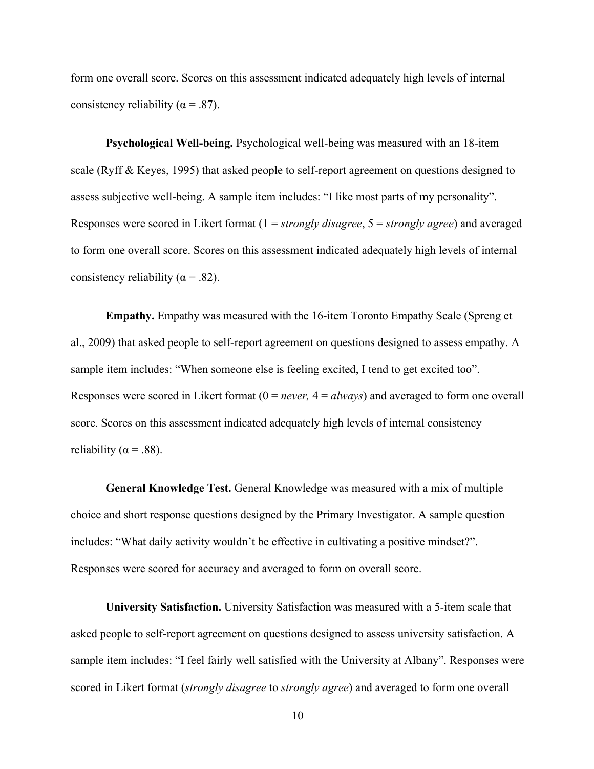form one overall score. Scores on this assessment indicated adequately high levels of internal consistency reliability ( $\alpha$  = .87).

**Psychological Well-being.** Psychological well-being was measured with an 18-item scale (Ryff & Keyes, 1995) that asked people to self-report agreement on questions designed to assess subjective well-being. A sample item includes: "I like most parts of my personality". Responses were scored in Likert format (1 = *strongly disagree*, 5 = *strongly agree*) and averaged to form one overall score. Scores on this assessment indicated adequately high levels of internal consistency reliability ( $\alpha$  = .82).

**Empathy.** Empathy was measured with the 16-item Toronto Empathy Scale (Spreng et al., 2009) that asked people to self-report agreement on questions designed to assess empathy. A sample item includes: "When someone else is feeling excited, I tend to get excited too". Responses were scored in Likert format (0 = *never,* 4 = *always*) and averaged to form one overall score. Scores on this assessment indicated adequately high levels of internal consistency reliability ( $\alpha = .88$ ).

**General Knowledge Test.** General Knowledge was measured with a mix of multiple choice and short response questions designed by the Primary Investigator. A sample question includes: "What daily activity wouldn't be effective in cultivating a positive mindset?". Responses were scored for accuracy and averaged to form on overall score.

**University Satisfaction.** University Satisfaction was measured with a 5-item scale that asked people to self-report agreement on questions designed to assess university satisfaction. A sample item includes: "I feel fairly well satisfied with the University at Albany". Responses were scored in Likert format (*strongly disagree* to *strongly agree*) and averaged to form one overall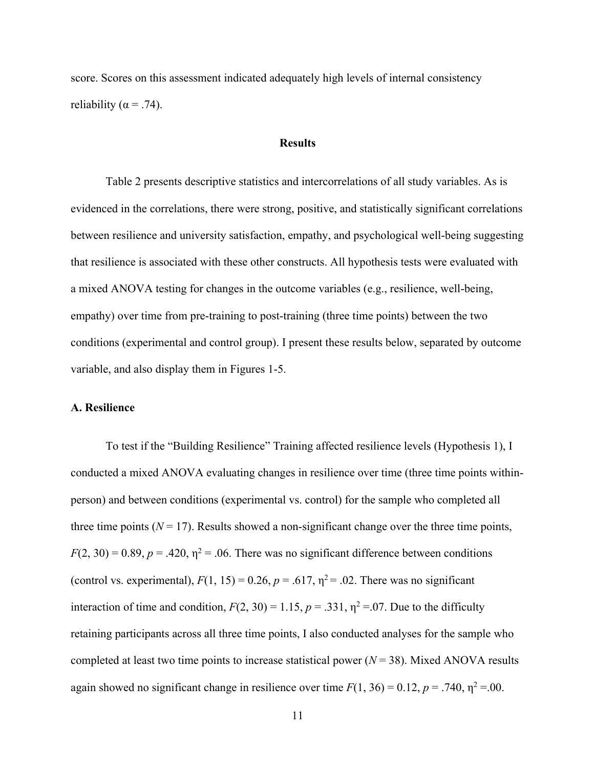score. Scores on this assessment indicated adequately high levels of internal consistency reliability ( $\alpha$  = .74).

#### **Results**

Table 2 presents descriptive statistics and intercorrelations of all study variables. As is evidenced in the correlations, there were strong, positive, and statistically significant correlations between resilience and university satisfaction, empathy, and psychological well-being suggesting that resilience is associated with these other constructs. All hypothesis tests were evaluated with a mixed ANOVA testing for changes in the outcome variables (e.g., resilience, well-being, empathy) over time from pre-training to post-training (three time points) between the two conditions (experimental and control group). I present these results below, separated by outcome variable, and also display them in Figures 1-5.

### **A. Resilience**

To test if the "Building Resilience" Training affected resilience levels (Hypothesis 1), I conducted a mixed ANOVA evaluating changes in resilience over time (three time points withinperson) and between conditions (experimental vs. control) for the sample who completed all three time points  $(N = 17)$ . Results showed a non-significant change over the three time points,  $F(2, 30) = 0.89$ ,  $p = .420$ ,  $\eta^2 = .06$ . There was no significant difference between conditions (control vs. experimental),  $F(1, 15) = 0.26$ ,  $p = .617$ ,  $\eta^2 = .02$ . There was no significant interaction of time and condition,  $F(2, 30) = 1.15$ ,  $p = .331$ ,  $\eta^2 = .07$ . Due to the difficulty retaining participants across all three time points, I also conducted analyses for the sample who completed at least two time points to increase statistical power  $(N = 38)$ . Mixed ANOVA results again showed no significant change in resilience over time  $F(1, 36) = 0.12$ ,  $p = .740$ ,  $\eta^2 = .00$ .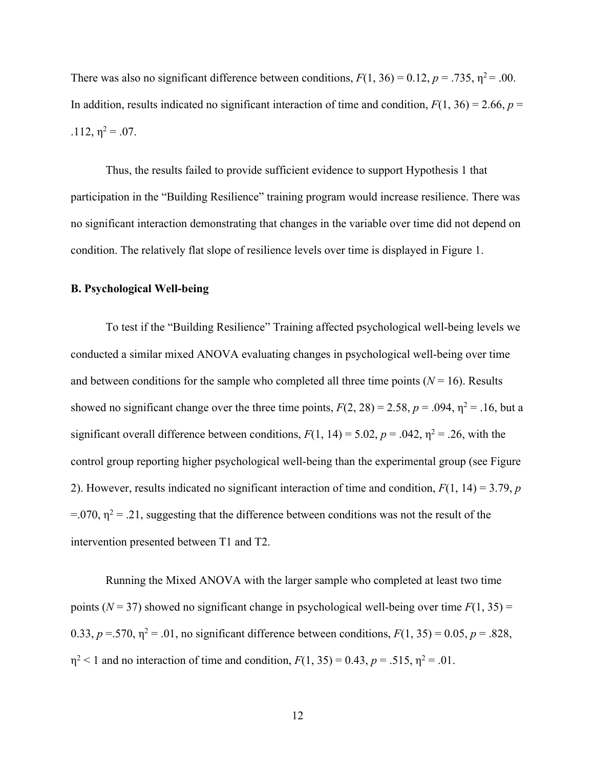There was also no significant difference between conditions,  $F(1, 36) = 0.12$ ,  $p = .735$ ,  $\eta^2 = .00$ . In addition, results indicated no significant interaction of time and condition,  $F(1, 36) = 2.66$ ,  $p =$  $.112, \eta^2 = .07.$ 

Thus, the results failed to provide sufficient evidence to support Hypothesis 1 that participation in the "Building Resilience" training program would increase resilience. There was no significant interaction demonstrating that changes in the variable over time did not depend on condition. The relatively flat slope of resilience levels over time is displayed in Figure 1.

### **B. Psychological Well-being**

To test if the "Building Resilience" Training affected psychological well-being levels we conducted a similar mixed ANOVA evaluating changes in psychological well-being over time and between conditions for the sample who completed all three time points  $(N = 16)$ . Results showed no significant change over the three time points,  $F(2, 28) = 2.58$ ,  $p = .094$ ,  $\eta^2 = .16$ , but a significant overall difference between conditions,  $F(1, 14) = 5.02$ ,  $p = .042$ ,  $\eta^2 = .26$ , with the control group reporting higher psychological well-being than the experimental group (see Figure 2). However, results indicated no significant interaction of time and condition, *F*(1, 14) = 3.79, *p* =.070,  $\eta^2$  = .21, suggesting that the difference between conditions was not the result of the intervention presented between T1 and T2.

Running the Mixed ANOVA with the larger sample who completed at least two time points ( $N = 37$ ) showed no significant change in psychological well-being over time  $F(1, 35) =$ 0.33,  $p = .570$ ,  $\eta^2 = .01$ , no significant difference between conditions,  $F(1, 35) = 0.05$ ,  $p = .828$ ,  $\eta^2$  < 1 and no interaction of time and condition,  $F(1, 35) = 0.43$ ,  $p = .515$ ,  $\eta^2 = .01$ .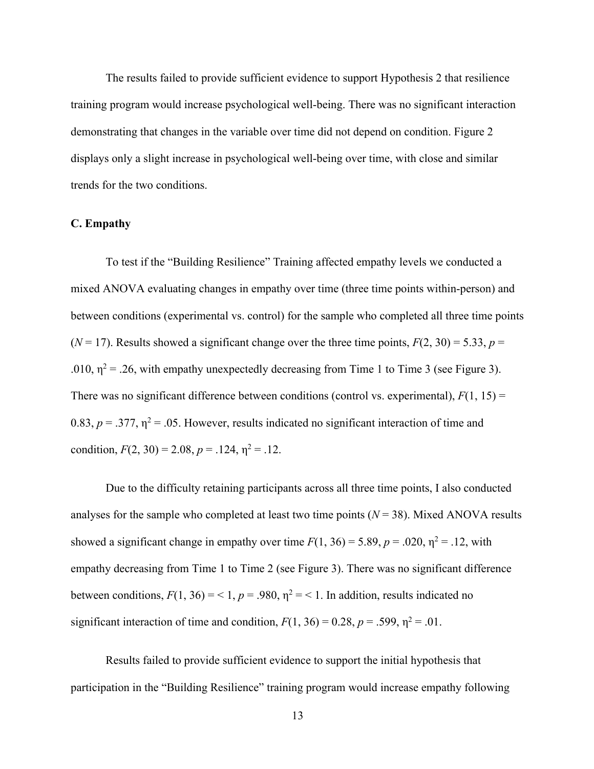The results failed to provide sufficient evidence to support Hypothesis 2 that resilience training program would increase psychological well-being. There was no significant interaction demonstrating that changes in the variable over time did not depend on condition. Figure 2 displays only a slight increase in psychological well-being over time, with close and similar trends for the two conditions.

### **C. Empathy**

To test if the "Building Resilience" Training affected empathy levels we conducted a mixed ANOVA evaluating changes in empathy over time (three time points within-person) and between conditions (experimental vs. control) for the sample who completed all three time points  $(N = 17)$ . Results showed a significant change over the three time points,  $F(2, 30) = 5.33$ ,  $p =$ .010,  $\eta^2$  = .26, with empathy unexpectedly decreasing from Time 1 to Time 3 (see Figure 3). There was no significant difference between conditions (control vs. experimental),  $F(1, 15)$  = 0.83,  $p = 0.377$ ,  $\eta^2 = 0.05$ . However, results indicated no significant interaction of time and condition,  $F(2, 30) = 2.08$ ,  $p = .124$ ,  $\eta^2 = .12$ .

Due to the difficulty retaining participants across all three time points, I also conducted analyses for the sample who completed at least two time points  $(N = 38)$ . Mixed ANOVA results showed a significant change in empathy over time  $F(1, 36) = 5.89$ ,  $p = .020$ ,  $\eta^2 = .12$ , with empathy decreasing from Time 1 to Time 2 (see Figure 3). There was no significant difference between conditions,  $F(1, 36) = 1$ ,  $p = .980$ ,  $\eta^2 = 1$ . In addition, results indicated no significant interaction of time and condition,  $F(1, 36) = 0.28$ ,  $p = .599$ ,  $\eta^2 = .01$ .

Results failed to provide sufficient evidence to support the initial hypothesis that participation in the "Building Resilience" training program would increase empathy following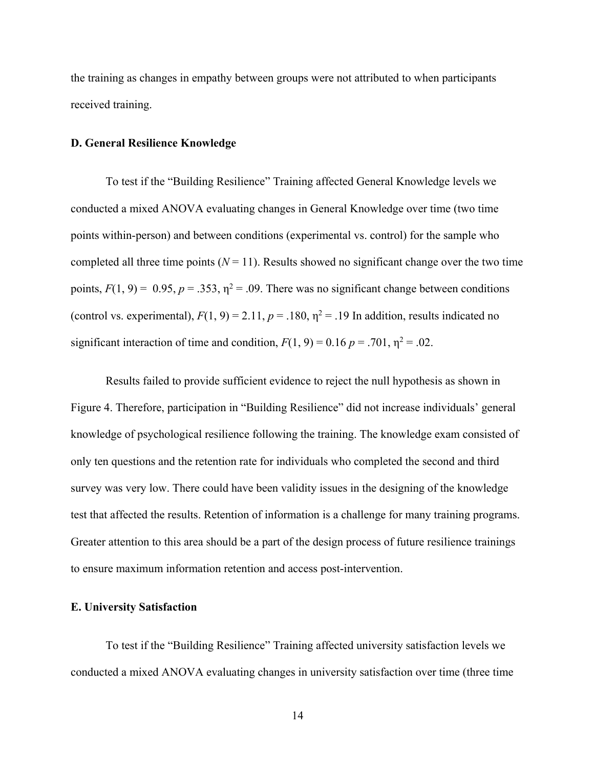the training as changes in empathy between groups were not attributed to when participants received training.

### **D. General Resilience Knowledge**

To test if the "Building Resilience" Training affected General Knowledge levels we conducted a mixed ANOVA evaluating changes in General Knowledge over time (two time points within-person) and between conditions (experimental vs. control) for the sample who completed all three time points  $(N = 11)$ . Results showed no significant change over the two time points,  $F(1, 9) = 0.95$ ,  $p = 0.353$ ,  $\eta^2 = 0.09$ . There was no significant change between conditions (control vs. experimental),  $F(1, 9) = 2.11$ ,  $p = .180$ ,  $\eta^2 = .19$  In addition, results indicated no significant interaction of time and condition,  $F(1, 9) = 0.16$   $p = .701$ ,  $\eta^2 = .02$ .

Results failed to provide sufficient evidence to reject the null hypothesis as shown in Figure 4. Therefore, participation in "Building Resilience" did not increase individuals' general knowledge of psychological resilience following the training. The knowledge exam consisted of only ten questions and the retention rate for individuals who completed the second and third survey was very low. There could have been validity issues in the designing of the knowledge test that affected the results. Retention of information is a challenge for many training programs. Greater attention to this area should be a part of the design process of future resilience trainings to ensure maximum information retention and access post-intervention.

### **E. University Satisfaction**

To test if the "Building Resilience" Training affected university satisfaction levels we conducted a mixed ANOVA evaluating changes in university satisfaction over time (three time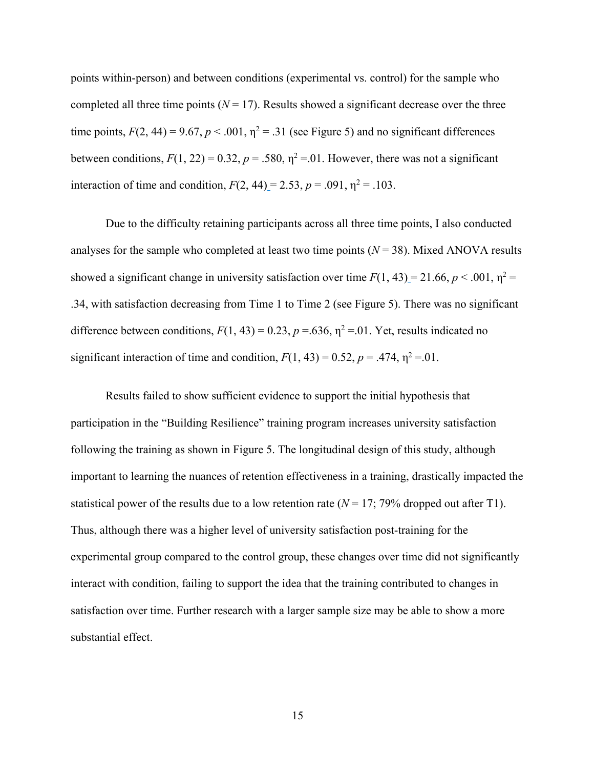points within-person) and between conditions (experimental vs. control) for the sample who completed all three time points  $(N = 17)$ . Results showed a significant decrease over the three time points,  $F(2, 44) = 9.67$ ,  $p < .001$ ,  $\eta^2 = .31$  (see Figure 5) and no significant differences between conditions,  $F(1, 22) = 0.32$ ,  $p = .580$ ,  $\eta^2 = .01$ . However, there was not a significant interaction of time and condition,  $F(2, 44) = 2.53$ ,  $p = .091$ ,  $p^2 = .103$ .

Due to the difficulty retaining participants across all three time points, I also conducted analyses for the sample who completed at least two time points  $(N = 38)$ . Mixed ANOVA results showed a significant change in university satisfaction over time  $F(1, 43) = 21.66$ ,  $p < .001$ ,  $p^2 =$ .34, with satisfaction decreasing from Time 1 to Time 2 (see Figure 5). There was no significant difference between conditions,  $F(1, 43) = 0.23$ ,  $p = .636$ ,  $\eta^2 = .01$ . Yet, results indicated no significant interaction of time and condition,  $F(1, 43) = 0.52$ ,  $p = .474$ ,  $\eta^2 = .01$ .

Results failed to show sufficient evidence to support the initial hypothesis that participation in the "Building Resilience" training program increases university satisfaction following the training as shown in Figure 5. The longitudinal design of this study, although important to learning the nuances of retention effectiveness in a training, drastically impacted the statistical power of the results due to a low retention rate  $(N = 17; 79\%$  dropped out after T1). Thus, although there was a higher level of university satisfaction post-training for the experimental group compared to the control group, these changes over time did not significantly interact with condition, failing to support the idea that the training contributed to changes in satisfaction over time. Further research with a larger sample size may be able to show a more substantial effect.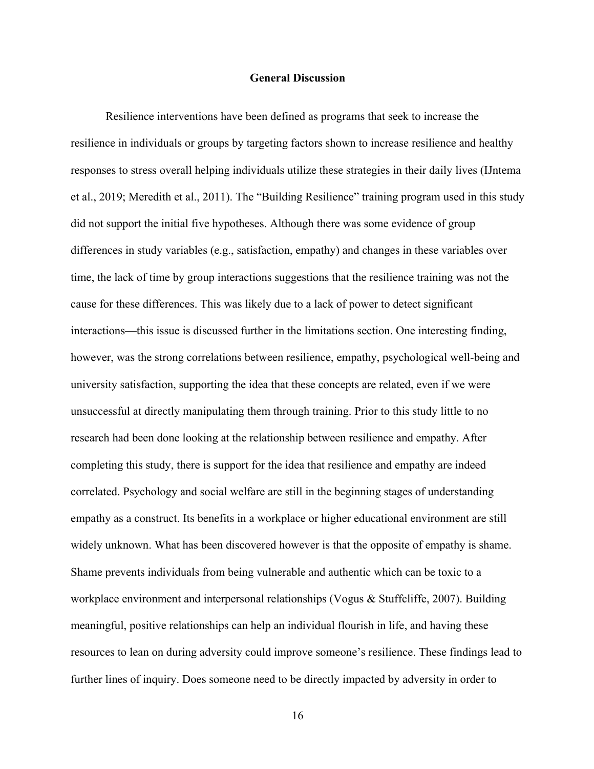### **General Discussion**

Resilience interventions have been defined as programs that seek to increase the resilience in individuals or groups by targeting factors shown to increase resilience and healthy responses to stress overall helping individuals utilize these strategies in their daily lives (IJntema et al., 2019; Meredith et al., 2011). The "Building Resilience" training program used in this study did not support the initial five hypotheses. Although there was some evidence of group differences in study variables (e.g., satisfaction, empathy) and changes in these variables over time, the lack of time by group interactions suggestions that the resilience training was not the cause for these differences. This was likely due to a lack of power to detect significant interactions—this issue is discussed further in the limitations section. One interesting finding, however, was the strong correlations between resilience, empathy, psychological well-being and university satisfaction, supporting the idea that these concepts are related, even if we were unsuccessful at directly manipulating them through training. Prior to this study little to no research had been done looking at the relationship between resilience and empathy. After completing this study, there is support for the idea that resilience and empathy are indeed correlated. Psychology and social welfare are still in the beginning stages of understanding empathy as a construct. Its benefits in a workplace or higher educational environment are still widely unknown. What has been discovered however is that the opposite of empathy is shame. Shame prevents individuals from being vulnerable and authentic which can be toxic to a workplace environment and interpersonal relationships (Vogus & Stuffcliffe, 2007). Building meaningful, positive relationships can help an individual flourish in life, and having these resources to lean on during adversity could improve someone's resilience. These findings lead to further lines of inquiry. Does someone need to be directly impacted by adversity in order to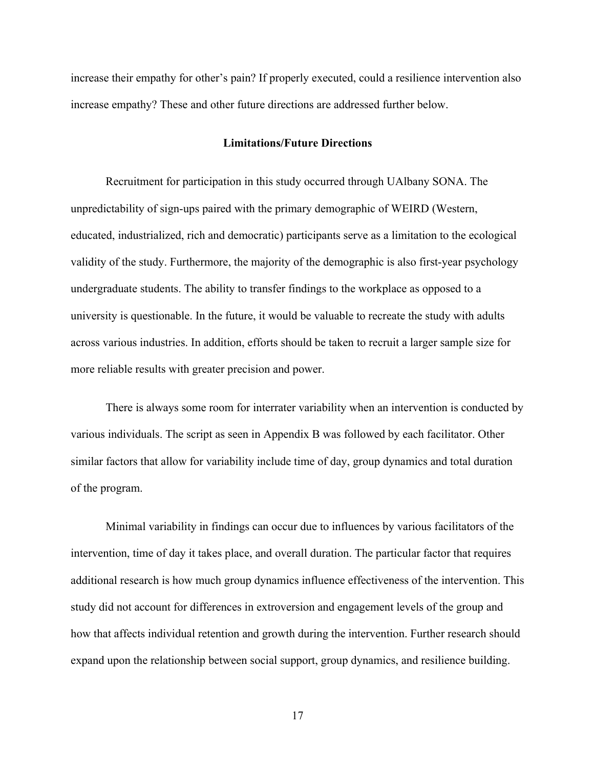increase their empathy for other's pain? If properly executed, could a resilience intervention also increase empathy? These and other future directions are addressed further below.

#### **Limitations/Future Directions**

Recruitment for participation in this study occurred through UAlbany SONA. The unpredictability of sign-ups paired with the primary demographic of WEIRD (Western, educated, industrialized, rich and democratic) participants serve as a limitation to the ecological validity of the study. Furthermore, the majority of the demographic is also first-year psychology undergraduate students. The ability to transfer findings to the workplace as opposed to a university is questionable. In the future, it would be valuable to recreate the study with adults across various industries. In addition, efforts should be taken to recruit a larger sample size for more reliable results with greater precision and power.

There is always some room for interrater variability when an intervention is conducted by various individuals. The script as seen in Appendix B was followed by each facilitator. Other similar factors that allow for variability include time of day, group dynamics and total duration of the program.

Minimal variability in findings can occur due to influences by various facilitators of the intervention, time of day it takes place, and overall duration. The particular factor that requires additional research is how much group dynamics influence effectiveness of the intervention. This study did not account for differences in extroversion and engagement levels of the group and how that affects individual retention and growth during the intervention. Further research should expand upon the relationship between social support, group dynamics, and resilience building.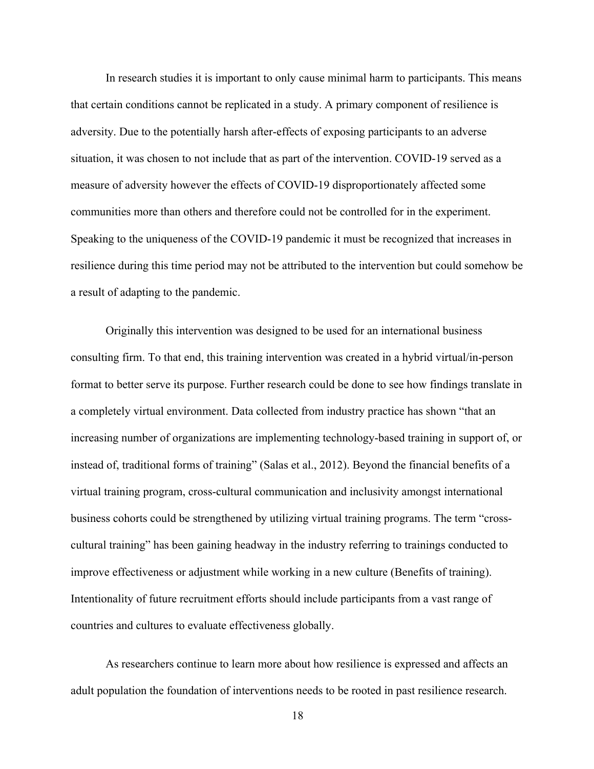In research studies it is important to only cause minimal harm to participants. This means that certain conditions cannot be replicated in a study. A primary component of resilience is adversity. Due to the potentially harsh after-effects of exposing participants to an adverse situation, it was chosen to not include that as part of the intervention. COVID-19 served as a measure of adversity however the effects of COVID-19 disproportionately affected some communities more than others and therefore could not be controlled for in the experiment. Speaking to the uniqueness of the COVID-19 pandemic it must be recognized that increases in resilience during this time period may not be attributed to the intervention but could somehow be a result of adapting to the pandemic.

Originally this intervention was designed to be used for an international business consulting firm. To that end, this training intervention was created in a hybrid virtual/in-person format to better serve its purpose. Further research could be done to see how findings translate in a completely virtual environment. Data collected from industry practice has shown "that an increasing number of organizations are implementing technology-based training in support of, or instead of, traditional forms of training" (Salas et al., 2012). Beyond the financial benefits of a virtual training program, cross-cultural communication and inclusivity amongst international business cohorts could be strengthened by utilizing virtual training programs. The term "crosscultural training" has been gaining headway in the industry referring to trainings conducted to improve effectiveness or adjustment while working in a new culture (Benefits of training). Intentionality of future recruitment efforts should include participants from a vast range of countries and cultures to evaluate effectiveness globally.

As researchers continue to learn more about how resilience is expressed and affects an adult population the foundation of interventions needs to be rooted in past resilience research.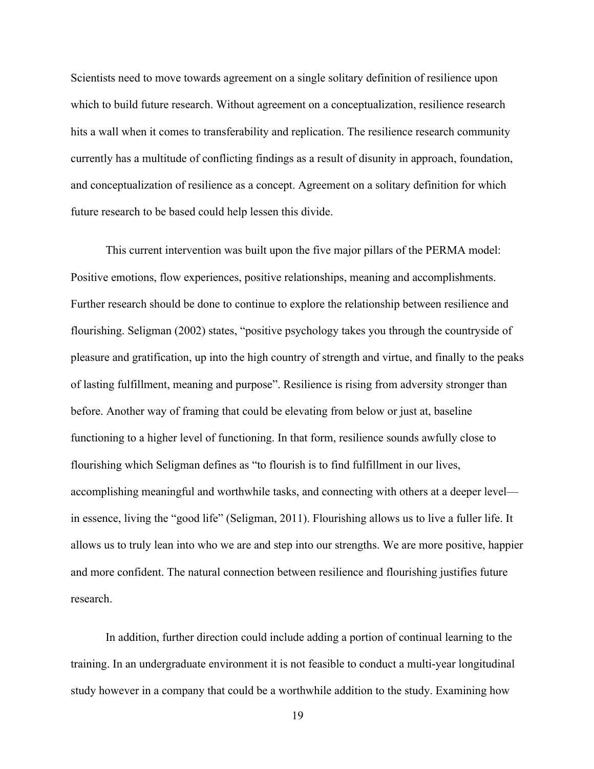Scientists need to move towards agreement on a single solitary definition of resilience upon which to build future research. Without agreement on a conceptualization, resilience research hits a wall when it comes to transferability and replication. The resilience research community currently has a multitude of conflicting findings as a result of disunity in approach, foundation, and conceptualization of resilience as a concept. Agreement on a solitary definition for which future research to be based could help lessen this divide.

This current intervention was built upon the five major pillars of the PERMA model: Positive emotions, flow experiences, positive relationships, meaning and accomplishments. Further research should be done to continue to explore the relationship between resilience and flourishing. Seligman (2002) states, "positive psychology takes you through the countryside of pleasure and gratification, up into the high country of strength and virtue, and finally to the peaks of lasting fulfillment, meaning and purpose". Resilience is rising from adversity stronger than before. Another way of framing that could be elevating from below or just at, baseline functioning to a higher level of functioning. In that form, resilience sounds awfully close to flourishing which Seligman defines as "to flourish is to find fulfillment in our lives, accomplishing meaningful and worthwhile tasks, and connecting with others at a deeper level in essence, living the "good life" (Seligman, 2011). Flourishing allows us to live a fuller life. It allows us to truly lean into who we are and step into our strengths. We are more positive, happier and more confident. The natural connection between resilience and flourishing justifies future research.

In addition, further direction could include adding a portion of continual learning to the training. In an undergraduate environment it is not feasible to conduct a multi-year longitudinal study however in a company that could be a worthwhile addition to the study. Examining how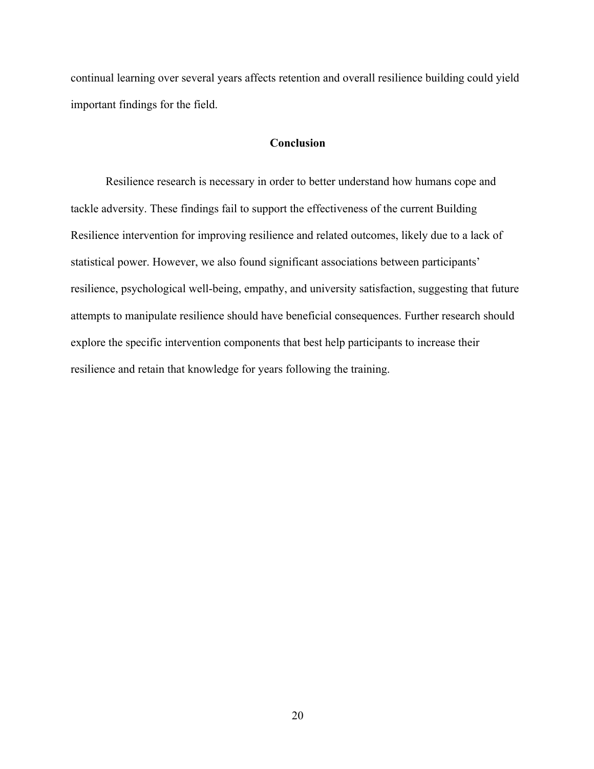continual learning over several years affects retention and overall resilience building could yield important findings for the field.

### **Conclusion**

Resilience research is necessary in order to better understand how humans cope and tackle adversity. These findings fail to support the effectiveness of the current Building Resilience intervention for improving resilience and related outcomes, likely due to a lack of statistical power. However, we also found significant associations between participants' resilience, psychological well-being, empathy, and university satisfaction, suggesting that future attempts to manipulate resilience should have beneficial consequences. Further research should explore the specific intervention components that best help participants to increase their resilience and retain that knowledge for years following the training.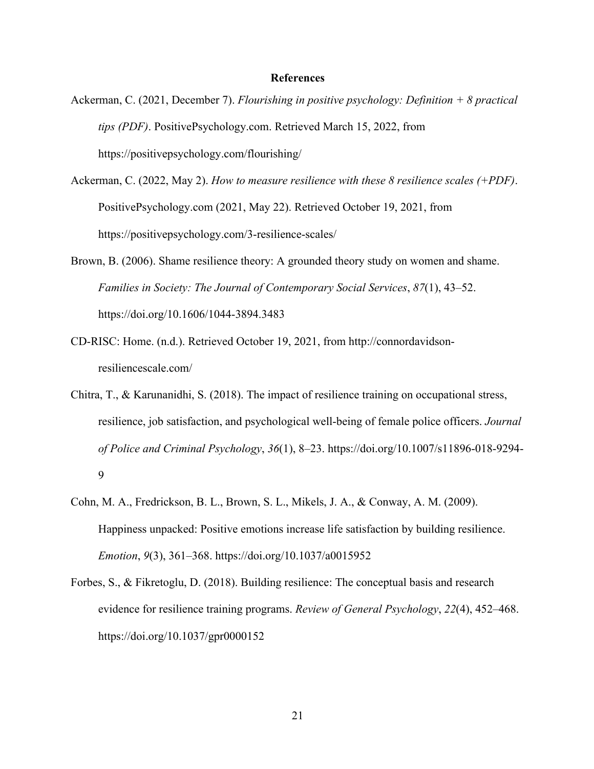#### **References**

- Ackerman, C. (2021, December 7). *Flourishing in positive psychology: Definition + 8 practical tips (PDF)*. PositivePsychology.com. Retrieved March 15, 2022, from https://positivepsychology.com/flourishing/
- Ackerman, C. (2022, May 2). *How to measure resilience with these 8 resilience scales (+PDF)*. PositivePsychology.com (2021, May 22). Retrieved October 19, 2021, from https://positivepsychology.com/3-resilience-scales/
- Brown, B. (2006). Shame resilience theory: A grounded theory study on women and shame. *Families in Society: The Journal of Contemporary Social Services*, *87*(1), 43–52. https://doi.org/10.1606/1044-3894.3483
- CD-RISC: Home. (n.d.). Retrieved October 19, 2021, from http://connordavidsonresiliencescale.com/
- Chitra, T., & Karunanidhi, S. (2018). The impact of resilience training on occupational stress, resilience, job satisfaction, and psychological well-being of female police officers. *Journal of Police and Criminal Psychology*, *36*(1), 8–23. https://doi.org/10.1007/s11896-018-9294- 9
- Cohn, M. A., Fredrickson, B. L., Brown, S. L., Mikels, J. A., & Conway, A. M. (2009). Happiness unpacked: Positive emotions increase life satisfaction by building resilience. *Emotion*, *9*(3), 361–368. https://doi.org/10.1037/a0015952
- Forbes, S., & Fikretoglu, D. (2018). Building resilience: The conceptual basis and research evidence for resilience training programs. *Review of General Psychology*, *22*(4), 452–468. https://doi.org/10.1037/gpr0000152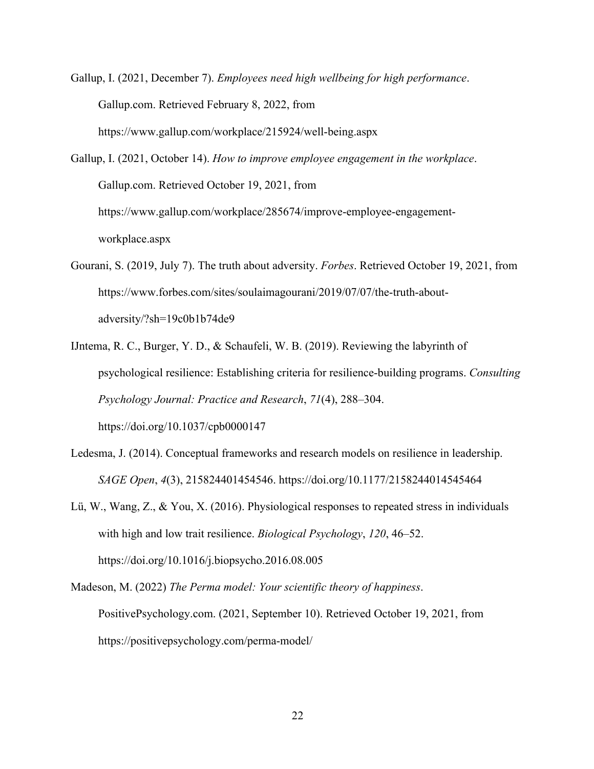- Gallup, I. (2021, December 7). *Employees need high wellbeing for high performance*. Gallup.com. Retrieved February 8, 2022, from https://www.gallup.com/workplace/215924/well-being.aspx
- Gallup, I. (2021, October 14). *How to improve employee engagement in the workplace*. Gallup.com. Retrieved October 19, 2021, from https://www.gallup.com/workplace/285674/improve-employee-engagementworkplace.aspx
- Gourani, S. (2019, July 7). The truth about adversity. *Forbes*. Retrieved October 19, 2021, from https://www.forbes.com/sites/soulaimagourani/2019/07/07/the-truth-aboutadversity/?sh=19c0b1b74de9
- IJntema, R. C., Burger, Y. D., & Schaufeli, W. B. (2019). Reviewing the labyrinth of psychological resilience: Establishing criteria for resilience-building programs. *Consulting Psychology Journal: Practice and Research*, *71*(4), 288–304. https://doi.org/10.1037/cpb0000147
- Ledesma, J. (2014). Conceptual frameworks and research models on resilience in leadership. *SAGE Open*, *4*(3), 215824401454546. https://doi.org/10.1177/2158244014545464
- Lü, W., Wang, Z., & You, X. (2016). Physiological responses to repeated stress in individuals with high and low trait resilience. *Biological Psychology*, *120*, 46–52. https://doi.org/10.1016/j.biopsycho.2016.08.005
- Madeson, M. (2022) *The Perma model: Your scientific theory of happiness*. PositivePsychology.com. (2021, September 10). Retrieved October 19, 2021, from https://positivepsychology.com/perma-model/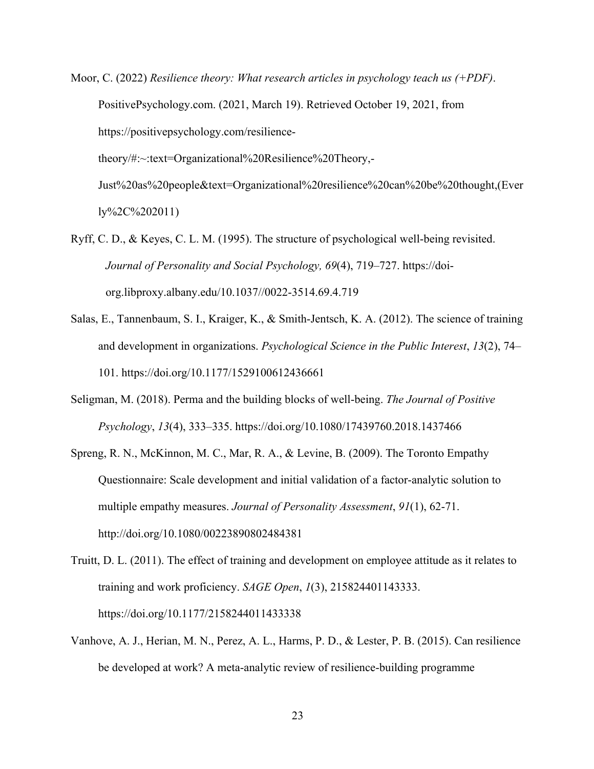- Moor, C. (2022) *Resilience theory: What research articles in psychology teach us (+PDF)*. PositivePsychology.com. (2021, March 19). Retrieved October 19, 2021, from https://positivepsychology.com/resiliencetheory/#:~:text=Organizational%20Resilience%20Theory,- Just%20as%20people&text=Organizational%20resilience%20can%20be%20thought,(Ever ly%2C%202011)
- Ryff, C. D., & Keyes, C. L. M. (1995). The structure of psychological well-being revisited. *Journal of Personality and Social Psychology, 69*(4), 719–727. https://doiorg.libproxy.albany.edu/10.1037//0022-3514.69.4.719
- Salas, E., Tannenbaum, S. I., Kraiger, K., & Smith-Jentsch, K. A. (2012). The science of training and development in organizations. *Psychological Science in the Public Interest*, *13*(2), 74– 101. https://doi.org/10.1177/1529100612436661
- Seligman, M. (2018). Perma and the building blocks of well-being. *The Journal of Positive Psychology*, *13*(4), 333–335. https://doi.org/10.1080/17439760.2018.1437466
- Spreng, R. N., McKinnon, M. C., Mar, R. A., & Levine, B. (2009). The Toronto Empathy Questionnaire: Scale development and initial validation of a factor-analytic solution to multiple empathy measures. *Journal of Personality Assessment*, *91*(1), 62-71. http://doi.org/10.1080/00223890802484381
- Truitt, D. L. (2011). The effect of training and development on employee attitude as it relates to training and work proficiency. *SAGE Open*, *1*(3), 215824401143333. https://doi.org/10.1177/2158244011433338
- Vanhove, A. J., Herian, M. N., Perez, A. L., Harms, P. D., & Lester, P. B. (2015). Can resilience be developed at work? A meta-analytic review of resilience-building programme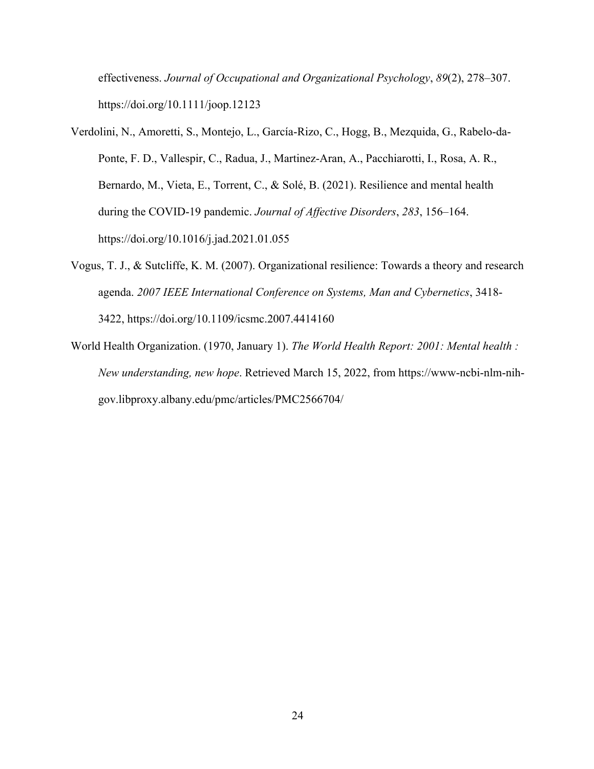effectiveness. *Journal of Occupational and Organizational Psychology*, *89*(2), 278–307. https://doi.org/10.1111/joop.12123

- Verdolini, N., Amoretti, S., Montejo, L., García-Rizo, C., Hogg, B., Mezquida, G., Rabelo-da-Ponte, F. D., Vallespir, C., Radua, J., Martinez-Aran, A., Pacchiarotti, I., Rosa, A. R., Bernardo, M., Vieta, E., Torrent, C., & Solé, B. (2021). Resilience and mental health during the COVID-19 pandemic. *Journal of Affective Disorders*, *283*, 156–164. https://doi.org/10.1016/j.jad.2021.01.055
- Vogus, T. J., & Sutcliffe, K. M. (2007). Organizational resilience: Towards a theory and research agenda. *2007 IEEE International Conference on Systems, Man and Cybernetics*, 3418- 3422, https://doi.org/10.1109/icsmc.2007.4414160
- World Health Organization. (1970, January 1). *The World Health Report: 2001: Mental health : New understanding, new hope*. Retrieved March 15, 2022, from https://www-ncbi-nlm-nihgov.libproxy.albany.edu/pmc/articles/PMC2566704/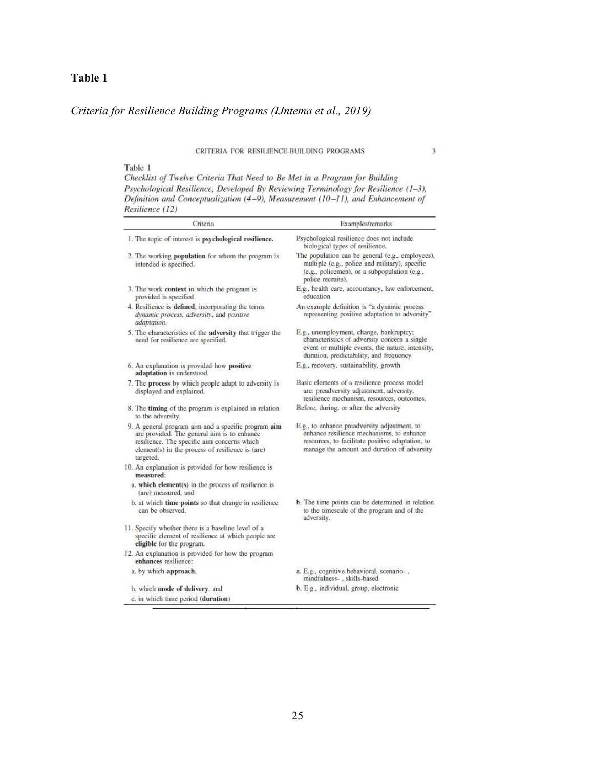# *Criteria for Resilience Building Programs (IJntema et al., 2019)*

CRITERIA FOR RESILIENCE-BUILDING PROGRAMS

 $\overline{3}$ 

#### Table 1

Checklist of Twelve Criteria That Need to Be Met in a Program for Building Psychological Resilience, Developed By Reviewing Terminology for Resilience (1-3), Definition and Conceptualization (4-9), Measurement (10-11), and Enhancement of Resilience (12)

| Criteria                                                                                                                                                                                                           | Examples/remarks                                                                                                                                                                             |  |  |  |  |
|--------------------------------------------------------------------------------------------------------------------------------------------------------------------------------------------------------------------|----------------------------------------------------------------------------------------------------------------------------------------------------------------------------------------------|--|--|--|--|
| 1. The topic of interest is psychological resilience.                                                                                                                                                              | Psychological resilience does not include<br>biological types of resilience.                                                                                                                 |  |  |  |  |
| 2. The working <b>population</b> for whom the program is<br>intended is specified.                                                                                                                                 | The population can be general (e.g., employees),<br>multiple (e.g., police and military), specific<br>(e.g., policemen), or a subpopulation (e.g.,<br>police recruits).                      |  |  |  |  |
| 3. The work <b>context</b> in which the program is<br>provided is specified.                                                                                                                                       | E.g., health care, accountancy, law enforcement,<br>education                                                                                                                                |  |  |  |  |
| 4. Resilience is <b>defined</b> , incorporating the terms<br>dynamic process, adversity, and positive<br>adaptation.                                                                                               | An example definition is "a dynamic process<br>representing positive adaptation to adversity"                                                                                                |  |  |  |  |
| 5. The characteristics of the adversity that trigger the<br>need for resilience are specified.                                                                                                                     | E.g., unemployment, change, bankruptcy;<br>characteristics of adversity concern a single<br>event or multiple events, the nature, intensity,<br>duration, predictability, and frequency      |  |  |  |  |
| 6. An explanation is provided how positive<br>adaptation is understood.                                                                                                                                            | E.g., recovery, sustainability, growth                                                                                                                                                       |  |  |  |  |
| 7. The <b>process</b> by which people adapt to adversity is<br>displayed and explained.                                                                                                                            | Basic elements of a resilience process model<br>are: preadversity adjustment, adversity,<br>resilience mechanism, resources, outcomes.                                                       |  |  |  |  |
| 8. The timing of the program is explained in relation<br>to the adversity.                                                                                                                                         | Before, during, or after the adversity                                                                                                                                                       |  |  |  |  |
| 9. A general program aim and a specific program aim<br>are provided. The general aim is to enhance<br>resilience. The specific aim concerns which<br>element(s) in the process of resilience is (are)<br>targeted. | E.g., to enhance preadversity adjustment, to<br>enhance resilience mechanisms, to enhance<br>resources, to facilitate positive adaptation, to<br>manage the amount and duration of adversity |  |  |  |  |
| 10. An explanation is provided for how resilience is<br>measured:                                                                                                                                                  |                                                                                                                                                                                              |  |  |  |  |
| a. which element(s) in the process of resilience is<br>(are) measured, and                                                                                                                                         |                                                                                                                                                                                              |  |  |  |  |
| b. at which <b>time points</b> so that change in resilience<br>can be observed.                                                                                                                                    | b. The time points can be determined in relation<br>to the timescale of the program and of the<br>adversity.                                                                                 |  |  |  |  |
| 11. Specify whether there is a baseline level of a<br>specific element of resilience at which people are<br>eligible for the program.                                                                              |                                                                                                                                                                                              |  |  |  |  |
| 12. An explanation is provided for how the program<br>enhances resilience:                                                                                                                                         |                                                                                                                                                                                              |  |  |  |  |
| a. by which approach,                                                                                                                                                                                              | a. E.g., cognitive-behavioral, scenario-,<br>mindfulness-, skills-based                                                                                                                      |  |  |  |  |
| b. which mode of delivery, and                                                                                                                                                                                     | b. E.g., individual, group, electronic                                                                                                                                                       |  |  |  |  |
| c. in which time period (duration)                                                                                                                                                                                 |                                                                                                                                                                                              |  |  |  |  |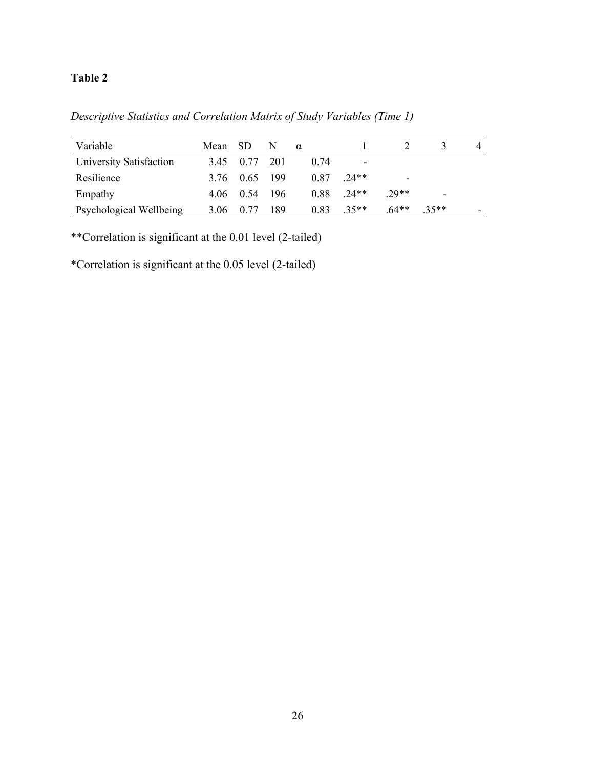| Variable                | Mean SD |               | N   | $\alpha$ |      |                          |                          |        | 4 |
|-------------------------|---------|---------------|-----|----------|------|--------------------------|--------------------------|--------|---|
| University Satisfaction |         | 3.45 0.77 201 |     |          | 0.74 | $\overline{\phantom{a}}$ |                          |        |   |
| Resilience              |         | 3.76 0.65 199 |     |          | 0.87 | $24**$                   | $\overline{\phantom{0}}$ |        |   |
| Empathy                 | 4.06    | 0.54 196      |     |          | 0.88 | $24**$                   | $70**$                   | -      |   |
| Psychological Wellbeing | 3.06    | 0.77          | 189 |          | 0.83 | $35**$                   | $.64**$                  | $35**$ |   |

*Descriptive Statistics and Correlation Matrix of Study Variables (Time 1)*

\*\*Correlation is significant at the 0.01 level (2-tailed)

\*Correlation is significant at the 0.05 level (2-tailed)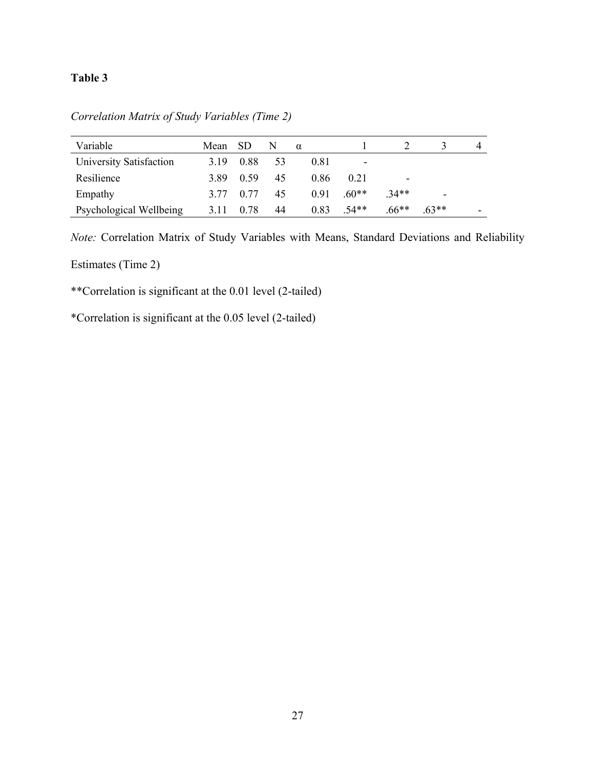| Correlation Matrix of Study Variables (Time 2) |  |  |
|------------------------------------------------|--|--|
|------------------------------------------------|--|--|

| Variable                | Mean SD |      | N <sub>N</sub> | $\alpha$ |      |                              |                          |                          |  |
|-------------------------|---------|------|----------------|----------|------|------------------------------|--------------------------|--------------------------|--|
| University Satisfaction | 3.19    | 0.88 | 53             |          | 0.81 | $\qquad \qquad \blacksquare$ |                          |                          |  |
| Resilience              | 3.89    | 0.59 | 45             |          | 0.86 | 0.21                         | $\overline{\phantom{0}}$ |                          |  |
| Empathy                 | 3.77    | 0.77 | 45             |          | 0.91 | $.60**$                      | $.34**$                  | $\overline{\phantom{0}}$ |  |
| Psychological Wellbeing | 3.11    | 0.78 | 44             |          | 0.83 | $.54**$                      | .66**                    | $.63**$                  |  |

*Note:* Correlation Matrix of Study Variables with Means, Standard Deviations and Reliability

Estimates (Time 2)

\*\*Correlation is significant at the 0.01 level (2-tailed)

\*Correlation is significant at the 0.05 level (2-tailed)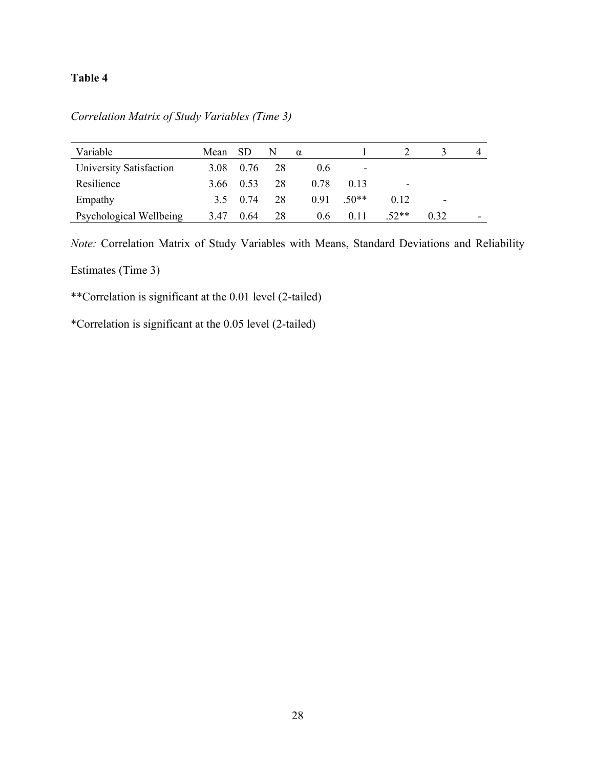| Variable                | Mean SD |              | $\mathbb N$ | $\alpha$      |                          |         |                          | 4 |
|-------------------------|---------|--------------|-------------|---------------|--------------------------|---------|--------------------------|---|
| University Satisfaction |         | 3.08 0.76 28 |             | 0.6           | $\overline{\phantom{a}}$ |         |                          |   |
| Resilience              |         | 3.66 0.53 28 |             | 0.78          | 0.13                     | ۰       |                          |   |
| Empathy                 |         | 3.5 0.74 28  |             |               | $0.91 \quad .50**$       | 0.12    | $\overline{\phantom{0}}$ |   |
| Psychological Wellbeing | 3.47    | 0.64         | 28          | $0.6^{\circ}$ | 0.11                     | $.52**$ | 0.32                     |   |

*Correlation Matrix of Study Variables (Time 3)*

*Note:* Correlation Matrix of Study Variables with Means, Standard Deviations and Reliability Estimates (Time 3)

\*\*Correlation is significant at the 0.01 level (2-tailed)

\*Correlation is significant at the 0.05 level (2-tailed)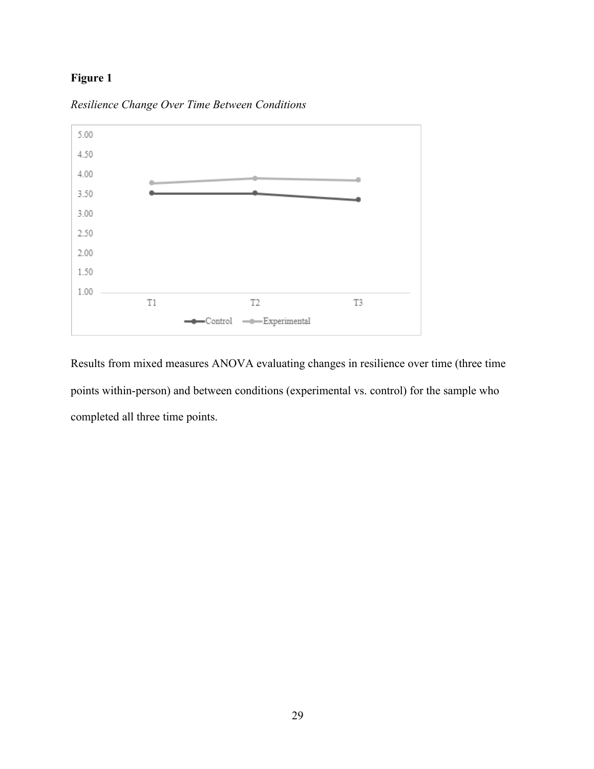

*Resilience Change Over Time Between Conditions* 

Results from mixed measures ANOVA evaluating changes in resilience over time (three time points within-person) and between conditions (experimental vs. control) for the sample who completed all three time points.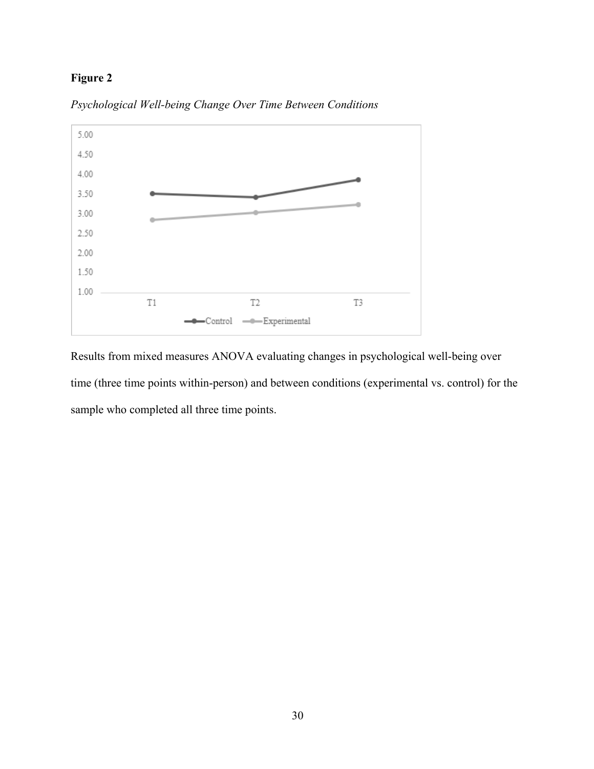

*Psychological Well-being Change Over Time Between Conditions*

Results from mixed measures ANOVA evaluating changes in psychological well-being over time (three time points within-person) and between conditions (experimental vs. control) for the sample who completed all three time points.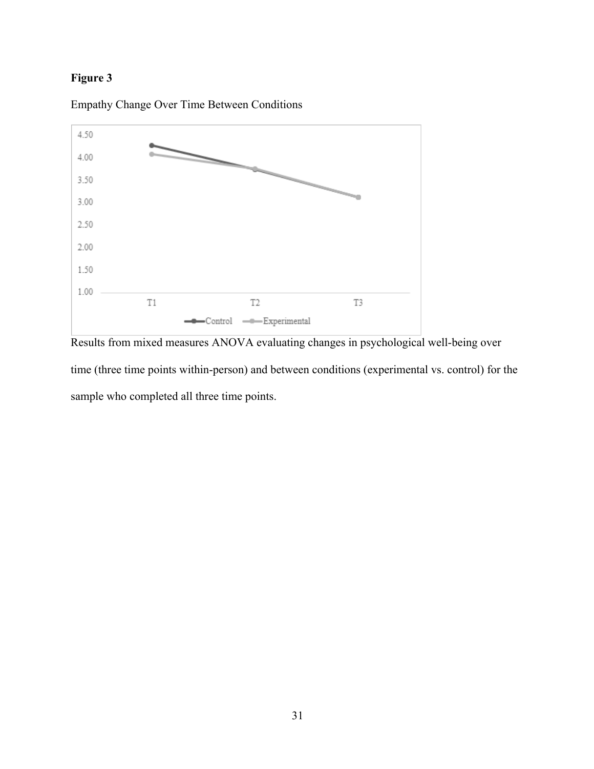

Empathy Change Over Time Between Conditions

Results from mixed measures ANOVA evaluating changes in psychological well-being over time (three time points within-person) and between conditions (experimental vs. control) for the sample who completed all three time points.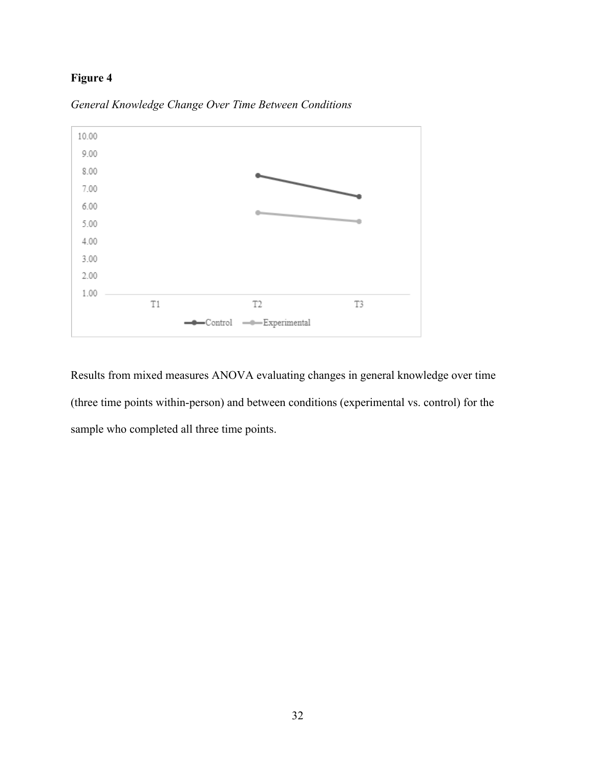

*General Knowledge Change Over Time Between Conditions*

Results from mixed measures ANOVA evaluating changes in general knowledge over time (three time points within-person) and between conditions (experimental vs. control) for the sample who completed all three time points.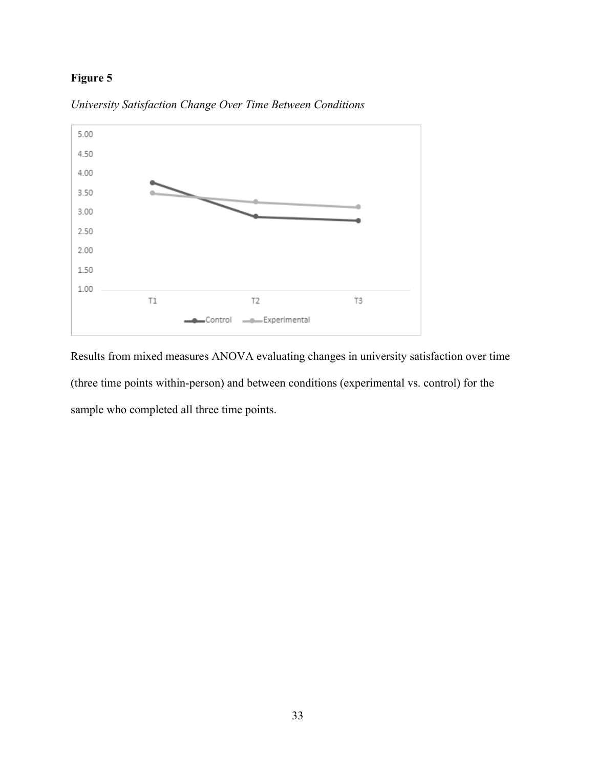

*University Satisfaction Change Over Time Between Conditions*

Results from mixed measures ANOVA evaluating changes in university satisfaction over time (three time points within-person) and between conditions (experimental vs. control) for the sample who completed all three time points.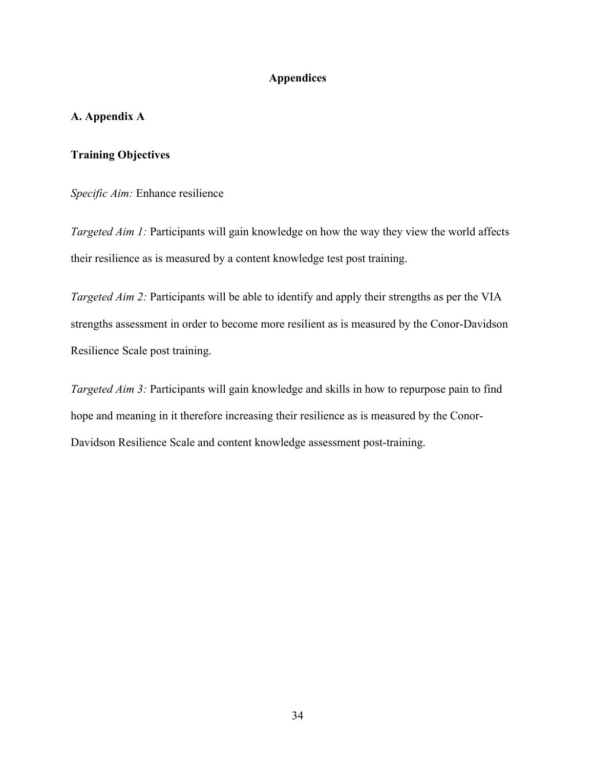### **Appendices**

### **A. Appendix A**

### **Training Objectives**

*Specific Aim:* Enhance resilience

*Targeted Aim 1:* Participants will gain knowledge on how the way they view the world affects their resilience as is measured by a content knowledge test post training.

*Targeted Aim 2:* Participants will be able to identify and apply their strengths as per the VIA strengths assessment in order to become more resilient as is measured by the Conor-Davidson Resilience Scale post training.

*Targeted Aim 3:* Participants will gain knowledge and skills in how to repurpose pain to find hope and meaning in it therefore increasing their resilience as is measured by the Conor-Davidson Resilience Scale and content knowledge assessment post-training.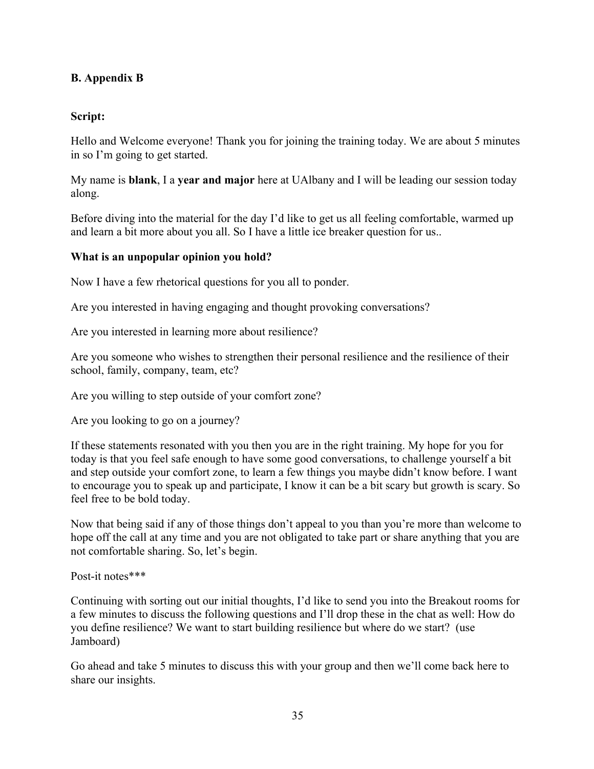## **B. Appendix B**

### **Script:**

Hello and Welcome everyone! Thank you for joining the training today. We are about 5 minutes in so I'm going to get started.

My name is **blank**, I a **year and major** here at UAlbany and I will be leading our session today along.

Before diving into the material for the day I'd like to get us all feeling comfortable, warmed up and learn a bit more about you all. So I have a little ice breaker question for us..

### **What is an unpopular opinion you hold?**

Now I have a few rhetorical questions for you all to ponder.

Are you interested in having engaging and thought provoking conversations?

Are you interested in learning more about resilience?

Are you someone who wishes to strengthen their personal resilience and the resilience of their school, family, company, team, etc?

Are you willing to step outside of your comfort zone?

Are you looking to go on a journey?

If these statements resonated with you then you are in the right training. My hope for you for today is that you feel safe enough to have some good conversations, to challenge yourself a bit and step outside your comfort zone, to learn a few things you maybe didn't know before. I want to encourage you to speak up and participate, I know it can be a bit scary but growth is scary. So feel free to be bold today.

Now that being said if any of those things don't appeal to you than you're more than welcome to hope off the call at any time and you are not obligated to take part or share anything that you are not comfortable sharing. So, let's begin.

Post-it notes\*\*\*

Continuing with sorting out our initial thoughts, I'd like to send you into the Breakout rooms for a few minutes to discuss the following questions and I'll drop these in the chat as well: How do you define resilience? We want to start building resilience but where do we start? (use Jamboard)

Go ahead and take 5 minutes to discuss this with your group and then we'll come back here to share our insights.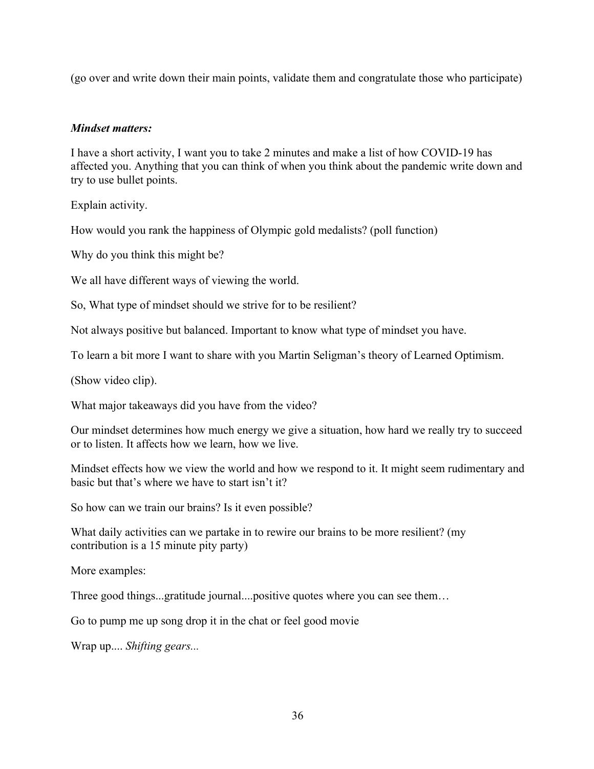(go over and write down their main points, validate them and congratulate those who participate)

### *Mindset matters:*

I have a short activity, I want you to take 2 minutes and make a list of how COVID-19 has affected you. Anything that you can think of when you think about the pandemic write down and try to use bullet points.

Explain activity.

How would you rank the happiness of Olympic gold medalists? (poll function)

Why do you think this might be?

We all have different ways of viewing the world.

So, What type of mindset should we strive for to be resilient?

Not always positive but balanced. Important to know what type of mindset you have.

To learn a bit more I want to share with you Martin Seligman's theory of Learned Optimism.

(Show video clip).

What major takeaways did you have from the video?

Our mindset determines how much energy we give a situation, how hard we really try to succeed or to listen. It affects how we learn, how we live.

Mindset effects how we view the world and how we respond to it. It might seem rudimentary and basic but that's where we have to start isn't it?

So how can we train our brains? Is it even possible?

What daily activities can we partake in to rewire our brains to be more resilient? (my contribution is a 15 minute pity party)

More examples:

Three good things...gratitude journal....positive quotes where you can see them…

Go to pump me up song drop it in the chat or feel good movie

Wrap up.... *Shifting gears...*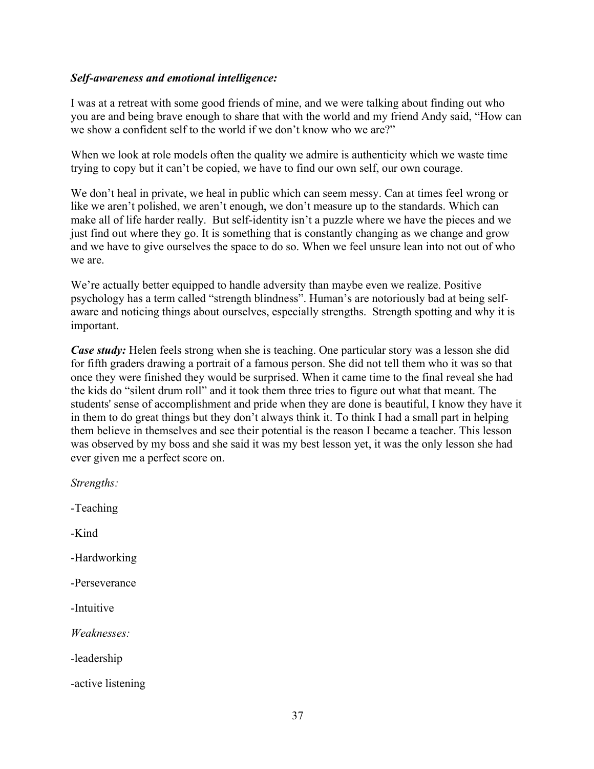### *Self-awareness and emotional intelligence:*

I was at a retreat with some good friends of mine, and we were talking about finding out who you are and being brave enough to share that with the world and my friend Andy said, "How can we show a confident self to the world if we don't know who we are?"

When we look at role models often the quality we admire is authenticity which we waste time trying to copy but it can't be copied, we have to find our own self, our own courage.

We don't heal in private, we heal in public which can seem messy. Can at times feel wrong or like we aren't polished, we aren't enough, we don't measure up to the standards. Which can make all of life harder really. But self-identity isn't a puzzle where we have the pieces and we just find out where they go. It is something that is constantly changing as we change and grow and we have to give ourselves the space to do so. When we feel unsure lean into not out of who we are.

We're actually better equipped to handle adversity than maybe even we realize. Positive psychology has a term called "strength blindness". Human's are notoriously bad at being selfaware and noticing things about ourselves, especially strengths. Strength spotting and why it is important.

*Case study:* Helen feels strong when she is teaching. One particular story was a lesson she did for fifth graders drawing a portrait of a famous person. She did not tell them who it was so that once they were finished they would be surprised. When it came time to the final reveal she had the kids do "silent drum roll" and it took them three tries to figure out what that meant. The students' sense of accomplishment and pride when they are done is beautiful, I know they have it in them to do great things but they don't always think it. To think I had a small part in helping them believe in themselves and see their potential is the reason I became a teacher. This lesson was observed by my boss and she said it was my best lesson yet, it was the only lesson she had ever given me a perfect score on.

*Strengths:*  -Teaching -Kind -Hardworking -Perseverance -Intuitive *Weaknesses:* -leadership -active listening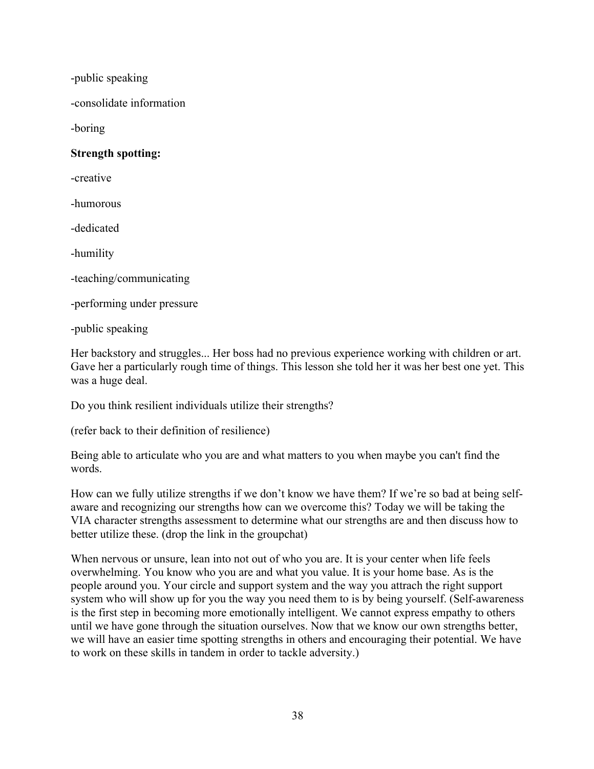-public speaking

-consolidate information

-boring

### **Strength spotting:**

-creative

-humorous

-dedicated

-humility

-teaching/communicating

-performing under pressure

-public speaking

Her backstory and struggles... Her boss had no previous experience working with children or art. Gave her a particularly rough time of things. This lesson she told her it was her best one yet. This was a huge deal.

Do you think resilient individuals utilize their strengths?

(refer back to their definition of resilience)

Being able to articulate who you are and what matters to you when maybe you can't find the words.

How can we fully utilize strengths if we don't know we have them? If we're so bad at being selfaware and recognizing our strengths how can we overcome this? Today we will be taking the VIA character strengths assessment to determine what our strengths are and then discuss how to better utilize these. (drop the link in the groupchat)

When nervous or unsure, lean into not out of who you are. It is your center when life feels overwhelming. You know who you are and what you value. It is your home base. As is the people around you. Your circle and support system and the way you attrach the right support system who will show up for you the way you need them to is by being yourself. (Self-awareness is the first step in becoming more emotionally intelligent. We cannot express empathy to others until we have gone through the situation ourselves. Now that we know our own strengths better, we will have an easier time spotting strengths in others and encouraging their potential. We have to work on these skills in tandem in order to tackle adversity.)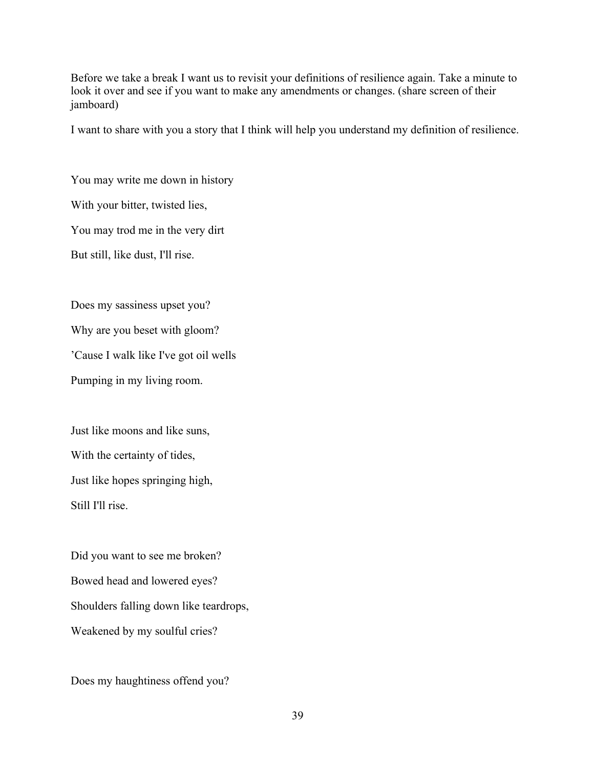Before we take a break I want us to revisit your definitions of resilience again. Take a minute to look it over and see if you want to make any amendments or changes. (share screen of their jamboard)

I want to share with you a story that I think will help you understand my definition of resilience.

You may write me down in history

With your bitter, twisted lies,

You may trod me in the very dirt

But still, like dust, I'll rise.

Does my sassiness upset you?

Why are you beset with gloom?

'Cause I walk like I've got oil wells

Pumping in my living room.

Just like moons and like suns, With the certainty of tides, Just like hopes springing high, Still I'll rise.

Did you want to see me broken? Bowed head and lowered eyes? Shoulders falling down like teardrops, Weakened by my soulful cries?

Does my haughtiness offend you?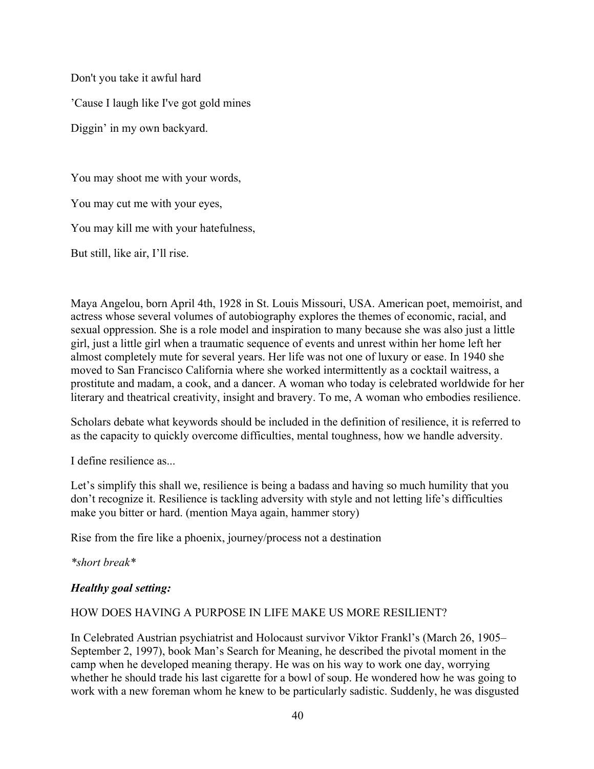Don't you take it awful hard 'Cause I laugh like I've got gold mines Diggin' in my own backyard.

You may shoot me with your words,

You may cut me with your eyes,

You may kill me with your hatefulness,

But still, like air, I'll rise.

Maya Angelou, born April 4th, 1928 in St. Louis Missouri, USA. American poet, memoirist, and actress whose several volumes of autobiography explores the themes of economic, racial, and sexual oppression. She is a role model and inspiration to many because she was also just a little girl, just a little girl when a traumatic sequence of events and unrest within her home left her almost completely mute for several years. Her life was not one of luxury or ease. In 1940 she moved to San Francisco California where she worked intermittently as a cocktail waitress, a prostitute and madam, a cook, and a dancer. A woman who today is celebrated worldwide for her literary and theatrical creativity, insight and bravery. To me, A woman who embodies resilience.

Scholars debate what keywords should be included in the definition of resilience, it is referred to as the capacity to quickly overcome difficulties, mental toughness, how we handle adversity.

I define resilience as...

Let's simplify this shall we, resilience is being a badass and having so much humility that you don't recognize it. Resilience is tackling adversity with style and not letting life's difficulties make you bitter or hard. (mention Maya again, hammer story)

Rise from the fire like a phoenix, journey/process not a destination

*\*short break\**

### *Healthy goal setting:*

### HOW DOES HAVING A PURPOSE IN LIFE MAKE US MORE RESILIENT?

In Celebrated Austrian psychiatrist and Holocaust survivor Viktor Frankl's (March 26, 1905– September 2, 1997), book Man's Search for Meaning, he described the pivotal moment in the camp when he developed meaning therapy. He was on his way to work one day, worrying whether he should trade his last cigarette for a bowl of soup. He wondered how he was going to work with a new foreman whom he knew to be particularly sadistic. Suddenly, he was disgusted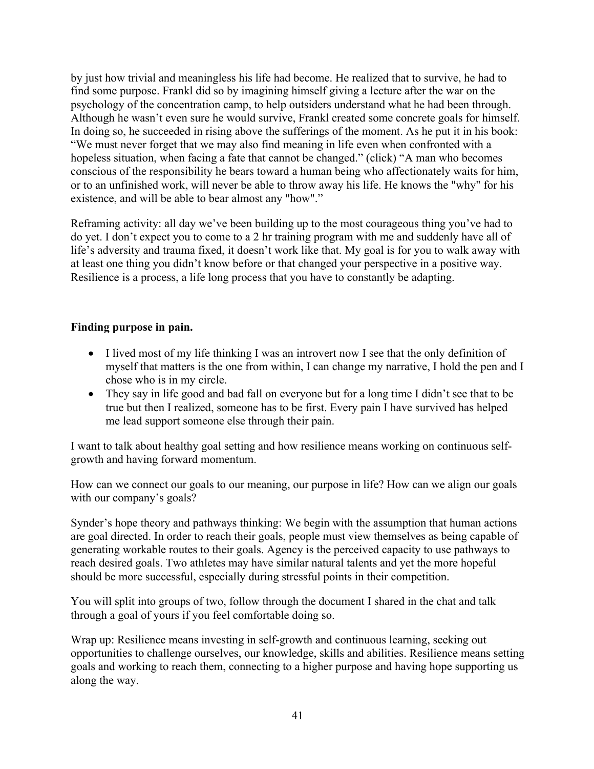by just how trivial and meaningless his life had become. He realized that to survive, he had to find some purpose. Frankl did so by imagining himself giving a lecture after the war on the psychology of the concentration camp, to help outsiders understand what he had been through. Although he wasn't even sure he would survive, Frankl created some concrete goals for himself. In doing so, he succeeded in rising above the sufferings of the moment. As he put it in his book: "We must never forget that we may also find meaning in life even when confronted with a hopeless situation, when facing a fate that cannot be changed." (click) "A man who becomes conscious of the responsibility he bears toward a human being who affectionately waits for him, or to an unfinished work, will never be able to throw away his life. He knows the "why" for his existence, and will be able to bear almost any "how"."

Reframing activity: all day we've been building up to the most courageous thing you've had to do yet. I don't expect you to come to a 2 hr training program with me and suddenly have all of life's adversity and trauma fixed, it doesn't work like that. My goal is for you to walk away with at least one thing you didn't know before or that changed your perspective in a positive way. Resilience is a process, a life long process that you have to constantly be adapting.

### **Finding purpose in pain.**

- I lived most of my life thinking I was an introvert now I see that the only definition of myself that matters is the one from within, I can change my narrative, I hold the pen and I chose who is in my circle.
- They say in life good and bad fall on everyone but for a long time I didn't see that to be true but then I realized, someone has to be first. Every pain I have survived has helped me lead support someone else through their pain.

I want to talk about healthy goal setting and how resilience means working on continuous selfgrowth and having forward momentum.

How can we connect our goals to our meaning, our purpose in life? How can we align our goals with our company's goals?

Synder's hope theory and pathways thinking: We begin with the assumption that human actions are goal directed. In order to reach their goals, people must view themselves as being capable of generating workable routes to their goals. Agency is the perceived capacity to use pathways to reach desired goals. Two athletes may have similar natural talents and yet the more hopeful should be more successful, especially during stressful points in their competition.

You will split into groups of two, follow through the document I shared in the chat and talk through a goal of yours if you feel comfortable doing so.

Wrap up: Resilience means investing in self-growth and continuous learning, seeking out opportunities to challenge ourselves, our knowledge, skills and abilities. Resilience means setting goals and working to reach them, connecting to a higher purpose and having hope supporting us along the way.